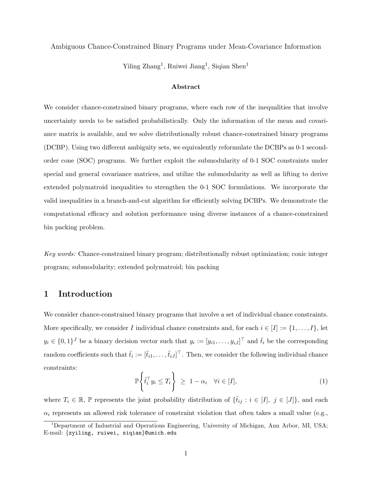### Ambiguous Chance-Constrained Binary Programs under Mean-Covariance Information

Yiling Zhang<sup>1</sup>, Ruiwei Jiang<sup>1</sup>, Siqian Shen<sup>1</sup>

### Abstract

We consider chance-constrained binary programs, where each row of the inequalities that involve uncertainty needs to be satisfied probabilistically. Only the information of the mean and covariance matrix is available, and we solve distributionally robust chance-constrained binary programs (DCBP). Using two different ambiguity sets, we equivalently reformulate the DCBPs as 0-1 secondorder cone (SOC) programs. We further exploit the submodularity of 0-1 SOC constraints under special and general covariance matrices, and utilize the submodularity as well as lifting to derive extended polymatroid inequalities to strengthen the 0-1 SOC formulations. We incorporate the valid inequalities in a branch-and-cut algorithm for efficiently solving DCBPs. We demonstrate the computational efficacy and solution performance using diverse instances of a chance-constrained bin packing problem.

Key words: Chance-constrained binary program; distributionally robust optimization; conic integer program; submodularity; extended polymatroid; bin packing

# 1 Introduction

We consider chance-constrained binary programs that involve a set of individual chance constraints. More specifically, we consider I individual chance constraints and, for each  $i \in [I] := \{1, \ldots, I\}$ , let  $y_i \in \{0,1\}^J$  be a binary decision vector such that  $y_i := [y_{i1}, \ldots, y_{iJ}]^\top$  and  $\tilde{t}_i$  be the corresponding random coefficients such that  $\tilde{t}_i := [\tilde{t}_{i1}, \ldots, \tilde{t}_{iJ}]^\top$ . Then, we consider the following individual chance constraints:

$$
\mathbb{P}\left\{\tilde{t}_i^\top y_i \le T_i\right\} \ge 1 - \alpha_i \quad \forall i \in [I],\tag{1}
$$

where  $T_i \in \mathbb{R}$ , P represents the joint probability distribution of  $\{\tilde{t}_{ij} : i \in [I], j \in [J]\}$ , and each  $\alpha_i$  represents an allowed risk tolerance of constraint violation that often takes a small value (e.g.,

<sup>&</sup>lt;sup>1</sup>Department of Industrial and Operations Engineering, University of Michigan, Ann Arbor, MI, USA; E-mail: {zyiling, ruiwei, siqian}@umich.edu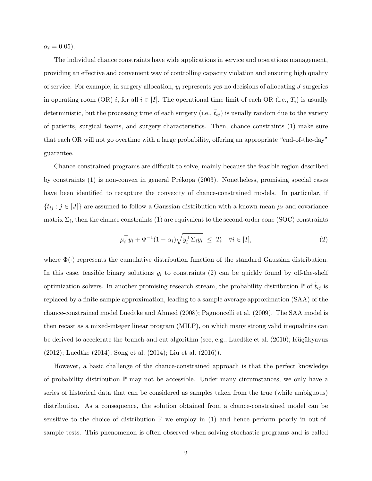$\alpha_i = 0.05$ ).

The individual chance constraints have wide applications in service and operations management, providing an effective and convenient way of controlling capacity violation and ensuring high quality of service. For example, in surgery allocation,  $y_i$  represents yes-no decisions of allocating J surgeries in operating room (OR) i, for all  $i \in [I]$ . The operational time limit of each OR (i.e.,  $T_i$ ) is usually deterministic, but the processing time of each surgery (i.e.,  $\tilde{t}_{ij}$ ) is usually random due to the variety of patients, surgical teams, and surgery characteristics. Then, chance constraints (1) make sure that each OR will not go overtime with a large probability, offering an appropriate "end-of-the-day" guarantee.

Chance-constrained programs are difficult to solve, mainly because the feasible region described by constraints  $(1)$  is non-convex in general Prékopa  $(2003)$ . Nonetheless, promising special cases have been identified to recapture the convexity of chance-constrained models. In particular, if  ${\lbrace \tilde{t}_{ij} : j \in [J] \rbrace}$  are assumed to follow a Gaussian distribution with a known mean  $\mu_i$  and covariance  $\text{matrix }\Sigma_i \text{, then the chance constraints (1) are equivalent to the second-order cone (SOC) constraints}$ 

$$
\mu_i^{\top} y_i + \Phi^{-1} (1 - \alpha_i) \sqrt{y_i^{\top} \Sigma_i y_i} \le T_i \quad \forall i \in [I],
$$
\n(2)

where  $\Phi(\cdot)$  represents the cumulative distribution function of the standard Gaussian distribution. In this case, feasible binary solutions  $y_i$  to constraints (2) can be quickly found by off-the-shelf optimization solvers. In another promising research stream, the probability distribution  $\mathbb P$  of  $t_{ij}$  is replaced by a finite-sample approximation, leading to a sample average approximation (SAA) of the chance-constrained model Luedtke and Ahmed (2008); Pagnoncelli et al. (2009). The SAA model is then recast as a mixed-integer linear program (MILP), on which many strong valid inequalities can be derived to accelerate the branch-and-cut algorithm (see, e.g., Luedtke et al. (2010); Küçükyavuz (2012); Luedtke (2014); Song et al. (2014); Liu et al. (2016)).

However, a basic challenge of the chance-constrained approach is that the perfect knowledge of probability distribution  $\mathbb P$  may not be accessible. Under many circumstances, we only have a series of historical data that can be considered as samples taken from the true (while ambiguous) distribution. As a consequence, the solution obtained from a chance-constrained model can be sensitive to the choice of distribution  $\mathbb P$  we employ in (1) and hence perform poorly in out-ofsample tests. This phenomenon is often observed when solving stochastic programs and is called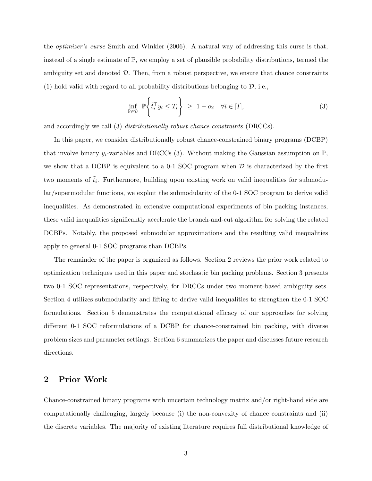the optimizer's curse Smith and Winkler (2006). A natural way of addressing this curse is that, instead of a single estimate of  $\mathbb{P}$ , we employ a set of plausible probability distributions, termed the ambiguity set and denoted  $\mathcal{D}$ . Then, from a robust perspective, we ensure that chance constraints (1) hold valid with regard to all probability distributions belonging to  $\mathcal{D}$ , i.e.,

$$
\inf_{\mathbb{P}\in\mathcal{D}}\mathbb{P}\left\{\tilde{t}_i^\top y_i \le T_i\right\} \ge 1 - \alpha_i \quad \forall i \in [I],\tag{3}
$$

and accordingly we call (3) distributionally robust chance constraints (DRCCs).

In this paper, we consider distributionally robust chance-constrained binary programs (DCBP) that involve binary  $y_i$ -variables and DRCCs (3). Without making the Gaussian assumption on  $\mathbb{P}$ , we show that a DCBP is equivalent to a 0-1 SOC program when  $D$  is characterized by the first two moments of  $\tilde{t}_i$ . Furthermore, building upon existing work on valid inequalities for submodular/supermodular functions, we exploit the submodularity of the 0-1 SOC program to derive valid inequalities. As demonstrated in extensive computational experiments of bin packing instances, these valid inequalities significantly accelerate the branch-and-cut algorithm for solving the related DCBPs. Notably, the proposed submodular approximations and the resulting valid inequalities apply to general 0-1 SOC programs than DCBPs.

The remainder of the paper is organized as follows. Section 2 reviews the prior work related to optimization techniques used in this paper and stochastic bin packing problems. Section 3 presents two 0-1 SOC representations, respectively, for DRCCs under two moment-based ambiguity sets. Section 4 utilizes submodularity and lifting to derive valid inequalities to strengthen the 0-1 SOC formulations. Section 5 demonstrates the computational efficacy of our approaches for solving different 0-1 SOC reformulations of a DCBP for chance-constrained bin packing, with diverse problem sizes and parameter settings. Section 6 summarizes the paper and discusses future research directions.

## 2 Prior Work

Chance-constrained binary programs with uncertain technology matrix and/or right-hand side are computationally challenging, largely because (i) the non-convexity of chance constraints and (ii) the discrete variables. The majority of existing literature requires full distributional knowledge of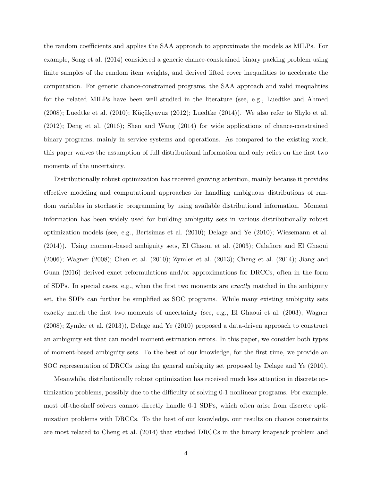the random coefficients and applies the SAA approach to approximate the models as MILPs. For example, Song et al. (2014) considered a generic chance-constrained binary packing problem using finite samples of the random item weights, and derived lifted cover inequalities to accelerate the computation. For generic chance-constrained programs, the SAA approach and valid inequalities for the related MILPs have been well studied in the literature (see, e.g., Luedtke and Ahmed  $(2008)$ ; Luedtke et al.  $(2010)$ ; Küçükyavuz  $(2012)$ ; Luedtke  $(2014)$ ). We also refer to Shylo et al. (2012); Deng et al. (2016); Shen and Wang (2014) for wide applications of chance-constrained binary programs, mainly in service systems and operations. As compared to the existing work, this paper waives the assumption of full distributional information and only relies on the first two moments of the uncertainty.

Distributionally robust optimization has received growing attention, mainly because it provides effective modeling and computational approaches for handling ambiguous distributions of random variables in stochastic programming by using available distributional information. Moment information has been widely used for building ambiguity sets in various distributionally robust optimization models (see, e.g., Bertsimas et al. (2010); Delage and Ye (2010); Wiesemann et al. (2014)). Using moment-based ambiguity sets, El Ghaoui et al. (2003); Calafiore and El Ghaoui (2006); Wagner (2008); Chen et al. (2010); Zymler et al. (2013); Cheng et al. (2014); Jiang and Guan (2016) derived exact reformulations and/or approximations for DRCCs, often in the form of SDPs. In special cases, e.g., when the first two moments are exactly matched in the ambiguity set, the SDPs can further be simplified as SOC programs. While many existing ambiguity sets exactly match the first two moments of uncertainty (see, e.g., El Ghaoui et al. (2003); Wagner (2008); Zymler et al. (2013)), Delage and Ye (2010) proposed a data-driven approach to construct an ambiguity set that can model moment estimation errors. In this paper, we consider both types of moment-based ambiguity sets. To the best of our knowledge, for the first time, we provide an SOC representation of DRCCs using the general ambiguity set proposed by Delage and Ye (2010).

Meanwhile, distributionally robust optimization has received much less attention in discrete optimization problems, possibly due to the difficulty of solving 0-1 nonlinear programs. For example, most off-the-shelf solvers cannot directly handle 0-1 SDPs, which often arise from discrete optimization problems with DRCCs. To the best of our knowledge, our results on chance constraints are most related to Cheng et al. (2014) that studied DRCCs in the binary knapsack problem and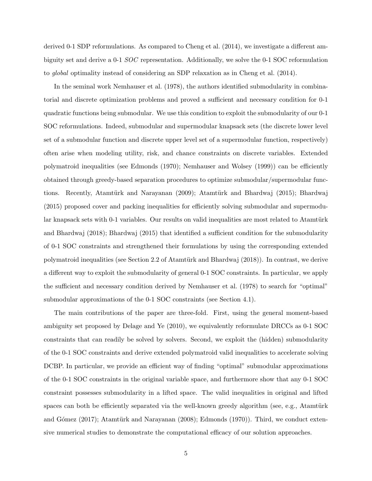derived 0-1 SDP reformulations. As compared to Cheng et al. (2014), we investigate a different ambiguity set and derive a 0-1 SOC representation. Additionally, we solve the 0-1 SOC reformulation to global optimality instead of considering an SDP relaxation as in Cheng et al. (2014).

In the seminal work Nemhauser et al. (1978), the authors identified submodularity in combinatorial and discrete optimization problems and proved a sufficient and necessary condition for 0-1 quadratic functions being submodular. We use this condition to exploit the submodularity of our 0-1 SOC reformulations. Indeed, submodular and supermodular knapsack sets (the discrete lower level set of a submodular function and discrete upper level set of a supermodular function, respectively) often arise when modeling utility, risk, and chance constraints on discrete variables. Extended polymatroid inequalities (see Edmonds (1970); Nemhauser and Wolsey (1999)) can be efficiently obtained through greedy-based separation procedures to optimize submodular/supermodular functions. Recently, Atamtürk and Narayanan (2009); Atamtürk and Bhardwaj (2015); Bhardwaj (2015) proposed cover and packing inequalities for efficiently solving submodular and supermodular knapsack sets with 0-1 variables. Our results on valid inequalities are most related to Atamtürk and Bhardwaj (2018); Bhardwaj (2015) that identified a sufficient condition for the submodularity of 0-1 SOC constraints and strengthened their formulations by using the corresponding extended polymatroid inequalities (see Section 2.2 of Atamtürk and Bhardwaj  $(2018)$ ). In contrast, we derive a different way to exploit the submodularity of general 0-1 SOC constraints. In particular, we apply the sufficient and necessary condition derived by Nemhauser et al. (1978) to search for "optimal" submodular approximations of the 0-1 SOC constraints (see Section 4.1).

The main contributions of the paper are three-fold. First, using the general moment-based ambiguity set proposed by Delage and Ye (2010), we equivalently reformulate DRCCs as 0-1 SOC constraints that can readily be solved by solvers. Second, we exploit the (hidden) submodularity of the 0-1 SOC constraints and derive extended polymatroid valid inequalities to accelerate solving DCBP. In particular, we provide an efficient way of finding "optimal" submodular approximations of the 0-1 SOC constraints in the original variable space, and furthermore show that any 0-1 SOC constraint possesses submodularity in a lifted space. The valid inequalities in original and lifted spaces can both be efficiently separated via the well-known greedy algorithm (see, e.g., Atamtürk and Gómez (2017); Atamtürk and Narayanan (2008); Edmonds (1970)). Third, we conduct extensive numerical studies to demonstrate the computational efficacy of our solution approaches.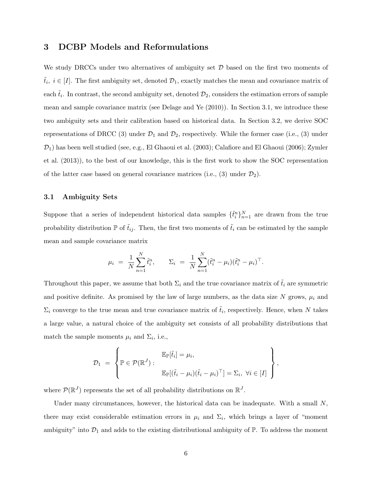## 3 DCBP Models and Reformulations

We study DRCCs under two alternatives of ambiguity set  $\mathcal D$  based on the first two moments of  $\tilde{t}_i, i \in [I]$ . The first ambiguity set, denoted  $\mathcal{D}_1$ , exactly matches the mean and covariance matrix of each  $\tilde{t}_i$ . In contrast, the second ambiguity set, denoted  $\mathcal{D}_2$ , considers the estimation errors of sample mean and sample covariance matrix (see Delage and Ye (2010)). In Section 3.1, we introduce these two ambiguity sets and their calibration based on historical data. In Section 3.2, we derive SOC representations of DRCC (3) under  $\mathcal{D}_1$  and  $\mathcal{D}_2$ , respectively. While the former case (i.e., (3) under  $\mathcal{D}_1$ ) has been well studied (see, e.g., El Ghaoui et al. (2003); Calafiore and El Ghaoui (2006); Zymler et al. (2013)), to the best of our knowledge, this is the first work to show the SOC representation of the latter case based on general covariance matrices (i.e., (3) under  $\mathcal{D}_2$ ).

### 3.1 Ambiguity Sets

Suppose that a series of independent historical data samples  $\{\tilde{t}_i^n\}_{n=1}^N$  are drawn from the true probability distribution  $\mathbb P$  of  $\tilde{t}_{ij}$ . Then, the first two moments of  $\tilde{t}_i$  can be estimated by the sample mean and sample covariance matrix

$$
\mu_i = \frac{1}{N} \sum_{n=1}^N \tilde{t}_i^n, \qquad \Sigma_i = \frac{1}{N} \sum_{n=1}^N (\tilde{t}_i^n - \mu_i) (\tilde{t}_i^n - \mu_i)^\top.
$$

Throughout this paper, we assume that both  $\Sigma_i$  and the true covariance matrix of  $\tilde{t}_i$  are symmetric and positive definite. As promised by the law of large numbers, as the data size N grows,  $\mu_i$  and  $\Sigma_i$  converge to the true mean and true covariance matrix of  $\tilde{t}_i$ , respectively. Hence, when N takes a large value, a natural choice of the ambiguity set consists of all probability distributions that match the sample moments  $\mu_i$  and  $\Sigma_i$ , i.e.,

$$
\mathcal{D}_1 = \left\{ \mathbb{P} \in \mathcal{P}(\mathbb{R}^J) : \begin{aligned} \mathbb{E}_{\mathbb{P}}[\tilde{t}_i] &= \mu_i, \\ \mathbb{E}_{\mathbb{P}}[(\tilde{t}_i - \mu_i)(\tilde{t}_i - \mu_i)^\top] &= \Sigma_i, \ \forall i \in [I] \end{aligned} \right\}
$$

,

where  $\mathcal{P}(\mathbb{R}^J)$  represents the set of all probability distributions on  $\mathbb{R}^J$ .

Under many circumstances, however, the historical data can be inadequate. With a small  $N$ , there may exist considerable estimation errors in  $\mu_i$  and  $\Sigma_i$ , which brings a layer of "moment" ambiguity" into  $\mathcal{D}_1$  and adds to the existing distributional ambiguity of  $\mathbb{P}$ . To address the moment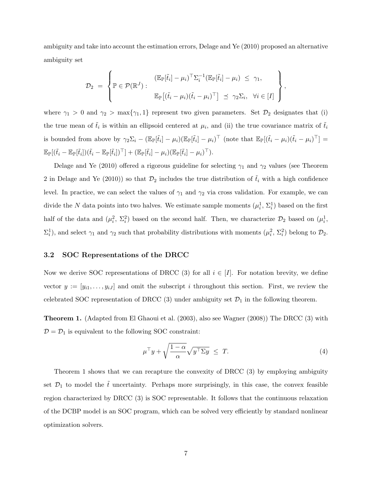ambiguity and take into account the estimation errors, Delage and Ye (2010) proposed an alternative ambiguity set

$$
\mathcal{D}_2 = \left\{ \mathbb{P} \in \mathcal{P}(\mathbb{R}^J) : \begin{array}{c} (\mathbb{E}_{\mathbb{P}}[\tilde{t}_i] - \mu_i)^\top \Sigma_i^{-1} (\mathbb{E}_{\mathbb{P}}[\tilde{t}_i] - \mu_i) \leq \gamma_1, \\ \mathbb{E}_{\mathbb{P}}[(\tilde{t}_i - \mu_i)(\tilde{t}_i - \mu_i)^\top] \preceq \gamma_2 \Sigma_i, \quad \forall i \in [I] \end{array} \right\},
$$

where  $\gamma_1 > 0$  and  $\gamma_2 > \max{\gamma_1, 1}$  represent two given parameters. Set  $\mathcal{D}_2$  designates that (i) the true mean of  $\tilde{t}_i$  is within an ellipsoid centered at  $\mu_i$ , and (ii) the true covariance matrix of  $\tilde{t}_i$ is bounded from above by  $\gamma_2 \Sigma_i - (\mathbb{E}_{\mathbb{P}}[\tilde{t}_i] - \mu_i)(\mathbb{E}_{\mathbb{P}}[\tilde{t}_i] - \mu_i)^\top$  (note that  $\mathbb{E}_{\mathbb{P}}[(\tilde{t}_i - \mu_i)(\tilde{t}_i - \mu_i)^\top] =$  $\mathbb{E}_{\mathbb{P}}[(\tilde{t}_i - \mathbb{E}_{\mathbb{P}}[\tilde{t}_i])(\tilde{t}_i - \mathbb{E}_{\mathbb{P}}[\tilde{t}_i])^\top] + (\mathbb{E}_{\mathbb{P}}[\tilde{t}_i] - \mu_i)(\mathbb{E}_{\mathbb{P}}[\tilde{t}_i] - \mu_i)^\top).$ 

Delage and Ye (2010) offered a rigorous guideline for selecting  $\gamma_1$  and  $\gamma_2$  values (see Theorem 2 in Delage and Ye (2010)) so that  $\mathcal{D}_2$  includes the true distribution of  $\tilde{t}_i$  with a high confidence level. In practice, we can select the values of  $\gamma_1$  and  $\gamma_2$  via cross validation. For example, we can divide the N data points into two halves. We estimate sample moments  $(\mu_i^1, \Sigma_i^1)$  based on the first half of the data and  $(\mu_i^2, \Sigma_i^2)$  based on the second half. Then, we characterize  $\mathcal{D}_2$  based on  $(\mu_i^1, \Sigma_i^2)$  $\Sigma_i^1$ ), and select  $\gamma_1$  and  $\gamma_2$  such that probability distributions with moments  $(\mu_i^2, \Sigma_i^2)$  belong to  $\mathcal{D}_2$ .

### 3.2 SOC Representations of the DRCC

Now we derive SOC representations of DRCC (3) for all  $i \in [I]$ . For notation brevity, we define vector  $y := [y_{i1}, \ldots, y_{iJ}]$  and omit the subscript i throughout this section. First, we review the celebrated SOC representation of DRCC (3) under ambiguity set  $\mathcal{D}_1$  in the following theorem.

Theorem 1. (Adapted from El Ghaoui et al. (2003), also see Wagner (2008)) The DRCC (3) with  $D = D_1$  is equivalent to the following SOC constraint:

$$
\mu^{\top} y + \sqrt{\frac{1-\alpha}{\alpha}} \sqrt{y^{\top} \Sigma y} \leq T. \tag{4}
$$

Theorem 1 shows that we can recapture the convexity of DRCC (3) by employing ambiguity set  $\mathcal{D}_1$  to model the  $\tilde{t}$  uncertainty. Perhaps more surprisingly, in this case, the convex feasible region characterized by DRCC (3) is SOC representable. It follows that the continuous relaxation of the DCBP model is an SOC program, which can be solved very efficiently by standard nonlinear optimization solvers.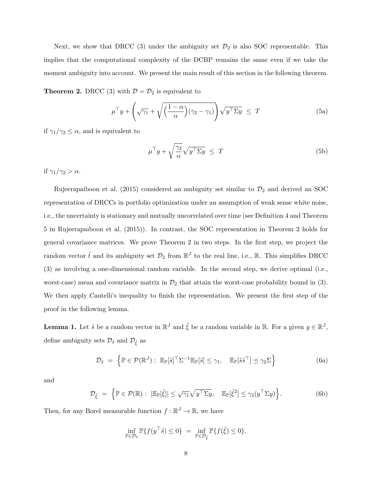Next, we show that DRCC (3) under the ambiguity set  $\mathcal{D}_2$  is also SOC representable. This implies that the computational complexity of the DCBP remains the same even if we take the moment ambiguity into account. We present the main result of this section in the following theorem.

**Theorem 2.** DRCC (3) with  $\mathcal{D} = \mathcal{D}_2$  is equivalent to

$$
\mu^{\top} y + \left(\sqrt{\gamma_1} + \sqrt{\left(\frac{1-\alpha}{\alpha}\right)(\gamma_2 - \gamma_1)}\right) \sqrt{y^{\top} \Sigma y} \leq T \tag{5a}
$$

if  $\gamma_1/\gamma_2 \leq \alpha$ , and is equivalent to

$$
\mu^{\top} y + \sqrt{\frac{\gamma_2}{\alpha}} \sqrt{y^{\top} \Sigma y} \leq T \tag{5b}
$$

if  $\gamma_1/\gamma_2 > \alpha$ .

Rujeerapaiboon et al. (2015) considered an ambiguity set similar to  $\mathcal{D}_2$  and derived an SOC representation of DRCCs in portfolio optimization under an assumption of weak sense white noise, i.e., the uncertainty is stationary and mutually uncorrelated over time (see Definition 4 and Theorem 5 in Rujeerapaiboon et al. (2015)). In contrast, the SOC representation in Theorem 2 holds for general covariance matrices. We prove Theorem 2 in two steps. In the first step, we project the random vector  $\tilde{t}$  and its ambiguity set  $\mathcal{D}_2$  from  $\mathbb{R}^J$  to the real line, i.e.,  $\mathbb{R}$ . This simplifies DRCC (3) as involving a one-dimensional random variable. In the second step, we derive optimal (i.e., worst-case) mean and covariance matrix in  $\mathcal{D}_2$  that attain the worst-case probability bound in (3). We then apply Cantelli's inequality to finish the representation. We present the first step of the proof in the following lemma.

**Lemma 1.** Let  $\tilde{s}$  be a random vector in  $\mathbb{R}^J$  and  $\tilde{\xi}$  be a random variable in  $\mathbb{R}$ . For a given  $y \in \mathbb{R}^J$ , define ambiguity sets  $\mathcal{D}_{\tilde{s}}$  and  $\mathcal{D}_{\tilde{\xi}}$  as

$$
\mathcal{D}_{\tilde{s}} = \left\{ \mathbb{P} \in \mathcal{P}(\mathbb{R}^J) : \mathbb{E}_{\mathbb{P}}[\tilde{s}]^\top \Sigma^{-1} \mathbb{E}_{\mathbb{P}}[\tilde{s}] \leq \gamma_1, \mathbb{E}_{\mathbb{P}}[\tilde{s}\tilde{s}^\top] \leq \gamma_2 \Sigma \right\}
$$
(6a)

and

$$
\mathcal{D}_{\tilde{\xi}} = \left\{ \mathbb{P} \in \mathcal{P}(\mathbb{R}) : \ |\mathbb{E}_{\mathbb{P}}[\tilde{\xi}]| \leq \sqrt{\gamma_1} \sqrt{y^{\top} \Sigma y}, \quad \mathbb{E}_{\mathbb{P}}[\tilde{\xi}^2] \leq \gamma_2(y^{\top} \Sigma y) \right\}.
$$
 (6b)

Then, for any Borel measurable function  $f : \mathbb{R}^J \to \mathbb{R}$ , we have

$$
\inf_{\mathbb{P}\in\mathcal{D}_{\tilde{s}}}\mathbb{P}\{f(y^\top \tilde{s})\leq 0\} = \inf_{\mathbb{P}\in\mathcal{D}_{\tilde{\xi}}}\mathbb{P}\{f(\tilde{\xi})\leq 0\}.
$$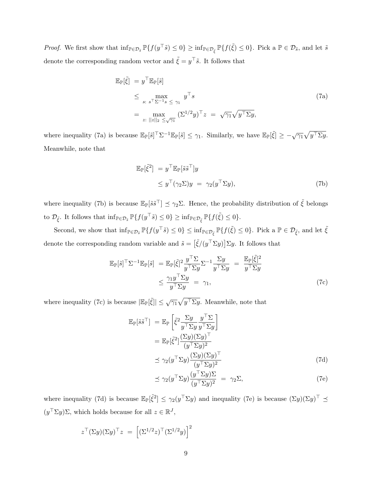*Proof.* We first show that  $\inf_{\mathbb{P}\in\mathcal{D}_{\tilde{s}}}\mathbb{P}\{f(y^{\top}\tilde{s})\leq 0\}\geq \inf_{\mathbb{P}\in\mathcal{D}_{\tilde{\xi}}}\mathbb{P}\{f(\tilde{\xi})\leq 0\}$ . Pick a  $\mathbb{P}\in\mathcal{D}_{\tilde{s}}$ , and let  $\tilde{s}$ denote the corresponding random vector and  $\tilde{\xi} = y^{\top} \tilde{s}$ . It follows that

$$
\mathbb{E}_{\mathbb{P}}[\tilde{\xi}] = y^{\top} \mathbb{E}_{\mathbb{P}}[\tilde{s}]
$$
\n
$$
\leq \max_{s: s^{\top} \Sigma^{-1} s \leq \gamma_1} y^{\top} s
$$
\n
$$
= \max_{z: ||z||_2 \leq \sqrt{\gamma_1}} (\Sigma^{1/2} y)^{\top} z = \sqrt{\gamma_1} \sqrt{y^{\top} \Sigma y},
$$
\n(7a)

where inequality (7a) is because  $\mathbb{E}_{\mathbb{P}}[\tilde{s}] \leq \gamma_1$ . Similarly, we have  $\mathbb{E}_{\mathbb{P}}[\tilde{\xi}] \geq -\sqrt{\gamma_1} \sqrt{y^{\top} \Sigma y}$ . Meanwhile, note that

$$
\mathbb{E}_{\mathbb{P}}[\tilde{\xi}^2] = y^{\top} \mathbb{E}_{\mathbb{P}}[\tilde{s}\tilde{s}^{\top}]y
$$
  
\n
$$
\leq y^{\top}(\gamma_2 \Sigma)y = \gamma_2(y^{\top} \Sigma y), \tag{7b}
$$

where inequality (7b) is because  $\mathbb{E}_{\mathbb{P}}[\tilde{s}\tilde{s}^{\top}] \preceq \gamma_2 \Sigma$ . Hence, the probability distribution of  $\tilde{\xi}$  belongs to  $\mathcal{D}_{\tilde{\xi}}$ . It follows that  $\inf_{\mathbb{P}\in\mathcal{D}_{\tilde{s}}}\mathbb{P}\{f(y^{\top}\tilde{s})\leq 0\}\geq \inf_{\mathbb{P}\in\mathcal{D}_{\tilde{\xi}}}\mathbb{P}\{f(\tilde{\xi})\leq 0\}.$ 

Second, we show that  $\inf_{\mathbb{P}\in\mathcal{D}_{\tilde{\mathcal{S}}}}\mathbb{P}\{f(y^{\top}\tilde{s})\leq 0\}\leq \inf_{\mathbb{P}\in\mathcal{D}_{\tilde{\xi}}}\mathbb{P}\{f(\tilde{\xi})\leq 0\}$ . Pick a  $\mathbb{P}\in\mathcal{D}_{\tilde{\xi}}$ , and let  $\tilde{\xi}$ denote the corresponding random variable and  $\tilde{s} = [\tilde{\xi}/(y^{\top} \Sigma y)] \Sigma y$ . It follows that

$$
\mathbb{E}_{\mathbb{P}}[\tilde{s}]^{\top} \Sigma^{-1} \mathbb{E}_{\mathbb{P}}[\tilde{s}] = \mathbb{E}_{\mathbb{P}}[\tilde{\xi}]^2 \frac{y^{\top} \Sigma}{y^{\top} \Sigma y} \Sigma^{-1} \frac{\Sigma y}{y^{\top} \Sigma y} = \frac{\mathbb{E}_{\mathbb{P}}[\tilde{\xi}]^2}{y^{\top} \Sigma y}
$$
  
 
$$
\leq \frac{\gamma_1 y^{\top} \Sigma y}{y^{\top} \Sigma y} = \gamma_1,
$$
 (7c)

where inequality (7c) is because  $|\mathbb{E}_{\mathbb{P}}[\tilde{\xi}]| \leq \sqrt{\gamma_1} \sqrt{y^{\top} \Sigma y}$ . Meanwhile, note that

$$
\mathbb{E}_{\mathbb{P}}[\tilde{s}\tilde{s}^{\top}] = \mathbb{E}_{\mathbb{P}}\left[\tilde{\xi}^{2} \frac{\Sigma y}{y^{\top} \Sigma y} \frac{y^{\top} \Sigma}{y^{\top} \Sigma y}\right]
$$

$$
= \mathbb{E}_{\mathbb{P}}[\tilde{\xi}^{2}] \frac{(\Sigma y)(\Sigma y)^{\top}}{(y^{\top} \Sigma y)^{2}}
$$

$$
\leq \gamma_{2}(y^{\top} \Sigma y) \frac{(\Sigma y)(\Sigma y)^{\top}}{(y^{\top} \Sigma y)^{2}}
$$
(7d)

$$
\preceq \gamma_2(y^\top \Sigma y) \frac{(y^\top \Sigma y) \Sigma}{(y^\top \Sigma y)^2} = \gamma_2 \Sigma,
$$
\n(7e)

where inequality (7d) is because  $\mathbb{E}_{\mathbb{P}}[\tilde{\xi}^2] \leq \gamma_2(y^\top \Sigma y)$  and inequality (7e) is because  $(\Sigma y)(\Sigma y)^\top \preceq$  $(y^{\top} \Sigma y) \Sigma$ , which holds because for all  $z \in \mathbb{R}^{J}$ ,

$$
z^{\top}(\Sigma y)(\Sigma y)^{\top} z = \left[ (\Sigma^{1/2} z)^{\top} (\Sigma^{1/2} y) \right]^2
$$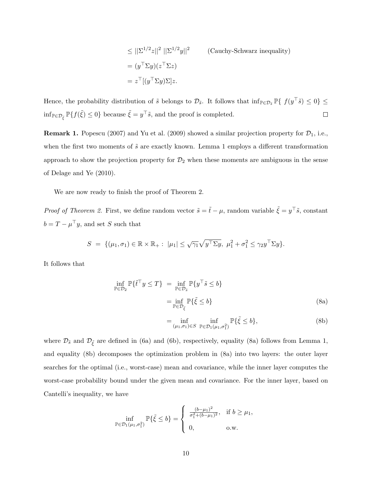$$
\leq ||\Sigma^{1/2}z||^2 ||\Sigma^{1/2}y||^2
$$
 (Cauchy-Schwarz inequality)  
=  $(y^\top \Sigma y)(z^\top \Sigma z)$   
=  $z^\top [(y^\top \Sigma y)\Sigma]z$ .

Hence, the probability distribution of  $\tilde{s}$  belongs to  $\mathcal{D}_{\tilde{s}}$ . It follows that  $\inf_{\mathbb{P}\in\mathcal{D}_{\tilde{s}}}\mathbb{P}\{\ f(y^{\top}\tilde{s})\leq 0\}\leq$  $\inf_{\mathbb{P}\in\mathcal{D}_{\tilde{\xi}}}\mathbb{P}\{f(\tilde{\xi})\leq 0\}$  because  $\tilde{\xi} = y^{\top}\tilde{s}$ , and the proof is completed.  $\Box$ 

**Remark 1.** Popescu (2007) and Yu et al. (2009) showed a similar projection property for  $\mathcal{D}_1$ , i.e., when the first two moments of  $\tilde{s}$  are exactly known. Lemma 1 employs a different transformation approach to show the projection property for  $\mathcal{D}_2$  when these moments are ambiguous in the sense of Delage and Ye (2010).

We are now ready to finish the proof of Theorem 2.

*Proof of Theorem 2.* First, we define random vector  $\tilde{s} = \tilde{t} - \mu$ , random variable  $\tilde{\xi} = y^{\top} \tilde{s}$ , constant  $b = T - \mu^{\top}y$ , and set S such that

$$
S = \{(\mu_1, \sigma_1) \in \mathbb{R} \times \mathbb{R}_+ : |\mu_1| \leq \sqrt{\gamma_1} \sqrt{y^\top \Sigma y}, \ \mu_1^2 + \sigma_1^2 \leq \gamma_2 y^\top \Sigma y \}.
$$

It follows that

$$
\inf_{\mathbb{P}\in\mathcal{D}_2} \mathbb{P}\{\tilde{t}^\top y \le T\} = \inf_{\mathbb{P}\in\mathcal{D}_{\tilde{s}}} \mathbb{P}\{y^\top \tilde{s} \le b\}
$$
\n
$$
= \inf_{\mathbb{P}\in\mathcal{D}_{\tilde{\xi}}} \mathbb{P}\{\tilde{\xi} \le b\}
$$
\n(8a)

$$
= \inf_{(\mu_1, \sigma_1) \in S} \inf_{\mathbb{P} \in \mathcal{D}_1(\mu_1, \sigma_1^2)} \mathbb{P}\{\tilde{\xi} \le b\},\tag{8b}
$$

where  $\mathcal{D}_{\tilde{s}}$  and  $\mathcal{D}_{\tilde{\xi}}$  are defined in (6a) and (6b), respectively, equality (8a) follows from Lemma 1, and equality (8b) decomposes the optimization problem in (8a) into two layers: the outer layer searches for the optimal (i.e., worst-case) mean and covariance, while the inner layer computes the worst-case probability bound under the given mean and covariance. For the inner layer, based on Cantelli's inequality, we have

$$
\inf_{\mathbb{P}\in\mathcal{D}_1(\mu_1,\sigma_1^2)} \mathbb{P}\{\tilde{\xi}\leq b\} = \begin{cases} \frac{(b-\mu_1)^2}{\sigma_1^2 + (b-\mu_1)^2}, & \text{if } b\geq \mu_1, \\ 0, & \text{o.w.} \end{cases}
$$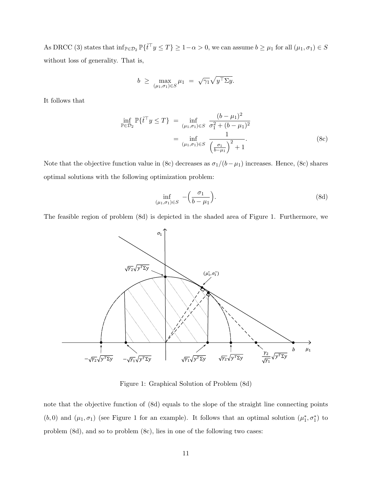As DRCC (3) states that  $\inf_{\mathbb{P}\in\mathcal{D}_2} \mathbb{P}\{\tilde{t}^\top y \leq T\} \geq 1-\alpha > 0$ , we can assume  $b \geq \mu_1$  for all  $(\mu_1, \sigma_1) \in S$ without loss of generality. That is,

$$
b \geq \max_{(\mu_1, \sigma_1) \in S} \mu_1 = \sqrt{\gamma_1} \sqrt{y^{\top} \Sigma y}.
$$

It follows that

$$
\inf_{\mathbb{P}\in\mathcal{D}_2} \mathbb{P}\{\tilde{t}^\top y \le T\} = \inf_{(\mu_1,\sigma_1)\in S} \frac{(b-\mu_1)^2}{\sigma_1^2 + (b-\mu_1)^2} \n= \inf_{(\mu_1,\sigma_1)\in S} \frac{1}{\left(\frac{\sigma_1}{b-\mu_1}\right)^2 + 1}.
$$
\n(8c)

Note that the objective function value in (8c) decreases as  $\sigma_1/(b-\mu_1)$  increases. Hence, (8c) shares optimal solutions with the following optimization problem:

$$
\inf_{(\mu_1,\sigma_1)\in S} -\left(\frac{\sigma_1}{b-\mu_1}\right). \tag{8d}
$$

The feasible region of problem (8d) is depicted in the shaded area of Figure 1. Furthermore, we



Figure 1: Graphical Solution of Problem (8d)

note that the objective function of (8d) equals to the slope of the straight line connecting points (b, 0) and  $(\mu_1, \sigma_1)$  (see Figure 1 for an example). It follows that an optimal solution  $(\mu_1^*, \sigma_1^*)$  to problem (8d), and so to problem (8c), lies in one of the following two cases: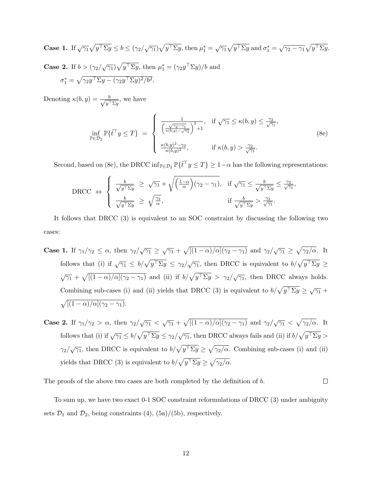Case 1. If 
$$
\sqrt{\gamma_1}\sqrt{y^\top\Sigma y} \le b \le (\gamma_2/\sqrt{\gamma_1})\sqrt{y^\top\Sigma y}
$$
, then  $\mu_1^* = \sqrt{\gamma_1}\sqrt{y^\top\Sigma y}$  and  $\sigma_1^* = \sqrt{\gamma_2 - \gamma_1}\sqrt{y^\top\Sigma y}$ .

**Case 2.** If  $b > (\gamma_2/\sqrt{\gamma_1})\sqrt{y^\top \Sigma y}$ , then  $\mu_1^* = (\gamma_2 y^\top \Sigma y)/b$  and  $\sigma_1^* = \sqrt{\gamma_2 y^{\top} \Sigma y - (\gamma_2 y^{\top} \Sigma y)^2/b^2}.$ 

Denoting  $\kappa(b, y) = \frac{b}{\sqrt{a}}$  $\frac{b}{y^{\top} \Sigma y}$ , we have

$$
\inf_{\mathbb{P}\in\mathcal{D}_2} \mathbb{P}\{\tilde{t}^\top y \le T\} = \begin{cases} \frac{1}{\left(\frac{\sqrt{\gamma_2 - \gamma_1}}{\kappa(b, y) - \sqrt{\gamma_1}}\right)^2 + 1}, & \text{if } \sqrt{\gamma_1} \le \kappa(b, y) \le \frac{\gamma_2}{\sqrt{\gamma_1}},\\ \frac{\kappa(b, y)^2 - \gamma_2}{\kappa(b, y)^2}, & \text{if } \kappa(b, y) > \frac{\gamma_2}{\sqrt{\gamma_1}}. \end{cases}
$$
(8e)

Second, based on (8e), the DRCC inf<sub>P∈</sub> $\mathcal{D}_2$   $\mathbb{P}\{\tilde{t}^\top y \leq T\} \geq 1-\alpha$  has the following representations:

$$
\text{DRCC} \Leftrightarrow \begin{cases} \frac{b}{\sqrt{y^{\top} \Sigma y}} \geq \sqrt{\gamma_1} + \sqrt{\left(\frac{1-\alpha}{\alpha}\right)(\gamma_2 - \gamma_1)}, & \text{if } \sqrt{\gamma_1} \leq \frac{b}{\sqrt{y^{\top} \Sigma y}} \leq \frac{\gamma_2}{\sqrt{\gamma_1}}, \\ \frac{b}{\sqrt{y^{\top} \Sigma y}} \geq \sqrt{\frac{\gamma_2}{\alpha}}, & \text{if } \frac{b}{\sqrt{y^{\top} \Sigma y}} > \frac{\gamma_2}{\sqrt{\gamma_1}}. \end{cases}
$$

It follows that DRCC (3) is equivalent to an SOC constraint by discussing the following two cases:

- **Case 1.** If  $\gamma_1/\gamma_2 \leq \alpha$ , then  $\gamma_2/\sqrt{\gamma_1} \geq \sqrt{\gamma_1} + \sqrt{[(1-\alpha)/\alpha](\gamma_2-\gamma_1)}$  and  $\gamma_2/\sqrt{\gamma_1} \geq \sqrt{\gamma_2/\alpha}$ . It follows that (i) if  $\sqrt{\gamma_1} \le b/\sqrt{y^\top \Sigma y} \le \gamma_2/\sqrt{\gamma_1}$ , then DRCC is equivalent to  $b/\sqrt{y^\top \Sigma y} \ge$  $\sqrt{\gamma_1} + \sqrt{\left[(1-\alpha)/\alpha\right](\gamma_2-\gamma_1)}$  and (ii) if  $b/\sqrt{y^\top\Sigma y} > \gamma_2/\sqrt{\gamma_1}$ , then DRCC always holds. Combining sub-cases (i) and (ii) yields that DRCC (3) is equivalent to  $b/\sqrt{y^{\top} \Sigma y} \geq \sqrt{\gamma_1} +$  $\sqrt{[(1-\alpha)/\alpha](\gamma_2-\gamma_1)}.$
- **Case 2.** If  $\gamma_1/\gamma_2 > \alpha$ , then  $\gamma_2/\sqrt{\gamma_1} < \sqrt{\gamma_1} + \sqrt{[(1-\alpha)/\alpha](\gamma_2-\gamma_1)}$  and  $\gamma_2/\sqrt{\gamma_1} < \sqrt{\gamma_2/\alpha}$ . It follows that (i) if  $\sqrt{\gamma_1} \le b/\sqrt{y^{\top} \Sigma y} \le \gamma_2/\sqrt{\gamma_1}$ , then DRCC always fails and (ii) if  $b/\sqrt{y^{\top} \Sigma y} >$  $\gamma_2/\sqrt{\gamma_1}$ , then DRCC is equivalent to  $b/\sqrt{y^{\top} \Sigma y} \geq \sqrt{\gamma_2/\alpha}$ . Combining sub-cases (i) and (ii) yields that DRCC (3) is equivalent to  $b/\sqrt{y^{\top} \Sigma y} \ge \sqrt{\gamma_2/\alpha}$ .

The proofs of the above two cases are both completed by the definition of b.

To sum up, we have two exact 0-1 SOC constraint reformulations of DRCC (3) under ambiguity sets  $\mathcal{D}_1$  and  $\mathcal{D}_2$ , being constraints (4), (5a)/(5b), respectively.

 $\Box$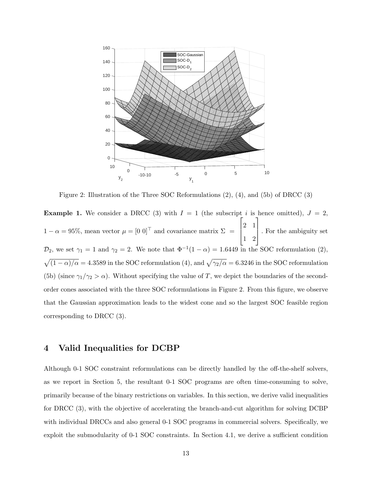

Figure 2: Illustration of the Three SOC Reformulations (2), (4), and (5b) of DRCC (3)

**Example 1.** We consider a DRCC (3) with  $I = 1$  (the subscript i is hence omitted),  $J = 2$ ,  $1 - \alpha = 95\%$ , mean vector  $\mu = \begin{bmatrix} 0 & 0 \end{bmatrix}^\top$  and covariance matrix  $\Sigma$  =  $\sqrt{ }$  $\vert$ 2 1 1 2 1 . For the ambiguity set  $\mathcal{D}_2$ , we set  $\gamma_1 = 1$  and  $\gamma_2 = 2$ . We note that  $\Phi^{-1}(1-\alpha) = 1.6449$  in the SOC reformulation (2),  $\sqrt{(1-\alpha)/\alpha} = 4.3589$  in the SOC reformulation (4), and  $\sqrt{\gamma_2/\alpha} = 6.3246$  in the SOC reformulation (5b) (since  $\gamma_1/\gamma_2 > \alpha$ ). Without specifying the value of T, we depict the boundaries of the secondorder cones associated with the three SOC reformulations in Figure 2. From this figure, we observe that the Gaussian approximation leads to the widest cone and so the largest SOC feasible region corresponding to DRCC (3).

### 4 Valid Inequalities for DCBP

Although 0-1 SOC constraint reformulations can be directly handled by the off-the-shelf solvers, as we report in Section 5, the resultant 0-1 SOC programs are often time-consuming to solve, primarily because of the binary restrictions on variables. In this section, we derive valid inequalities for DRCC (3), with the objective of accelerating the branch-and-cut algorithm for solving DCBP with individual DRCCs and also general 0-1 SOC programs in commercial solvers. Specifically, we exploit the submodularity of 0-1 SOC constraints. In Section 4.1, we derive a sufficient condition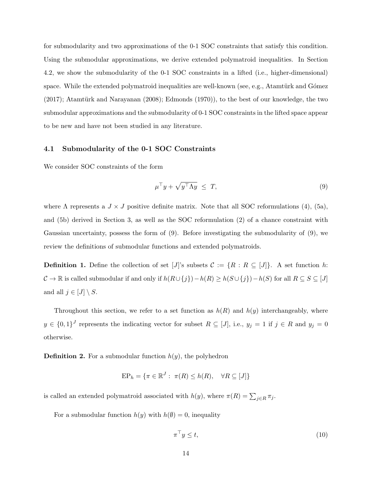for submodularity and two approximations of the 0-1 SOC constraints that satisfy this condition. Using the submodular approximations, we derive extended polymatroid inequalities. In Section 4.2, we show the submodularity of the 0-1 SOC constraints in a lifted (i.e., higher-dimensional) space. While the extended polymatroid inequalities are well-known (see, e.g., Atamtürk and Gómez  $(2017)$ ; Atamtürk and Narayanan  $(2008)$ ; Edmonds  $(1970)$ ), to the best of our knowledge, the two submodular approximations and the submodularity of 0-1 SOC constraints in the lifted space appear to be new and have not been studied in any literature.

### 4.1 Submodularity of the 0-1 SOC Constraints

We consider SOC constraints of the form

$$
\mu^{\top} y + \sqrt{y^{\top} \Lambda y} \leq T,\tag{9}
$$

where  $\Lambda$  represents a  $J \times J$  positive definite matrix. Note that all SOC reformulations (4), (5a), and (5b) derived in Section 3, as well as the SOC reformulation (2) of a chance constraint with Gaussian uncertainty, possess the form of (9). Before investigating the submodularity of (9), we review the definitions of submodular functions and extended polymatroids.

**Definition 1.** Define the collection of set [J]'s subsets  $C := \{R : R \subseteq [J]\}\$ . A set function h:  $C \to \mathbb{R}$  is called submodular if and only if  $h(R\cup\{j\})-h(R) \geq h(S\cup\{j\})-h(S)$  for all  $R \subseteq S \subseteq [J]$ and all  $j \in [J] \setminus S$ .

Throughout this section, we refer to a set function as  $h(R)$  and  $h(y)$  interchangeably, where  $y \in \{0,1\}^J$  represents the indicating vector for subset  $R \subseteq [J]$ , i.e.,  $y_j = 1$  if  $j \in R$  and  $y_j = 0$ otherwise.

**Definition 2.** For a submodular function  $h(y)$ , the polyhedron

$$
EP_h = \{ \pi \in \mathbb{R}^J : \ \pi(R) \le h(R), \quad \forall R \subseteq [J] \}
$$

is called an extended polymatroid associated with  $h(y)$ , where  $\pi(R) = \sum_{j \in R} \pi_j$ .

For a submodular function  $h(y)$  with  $h(\emptyset) = 0$ , inequality

$$
\pi^{\top} y \le t,\tag{10}
$$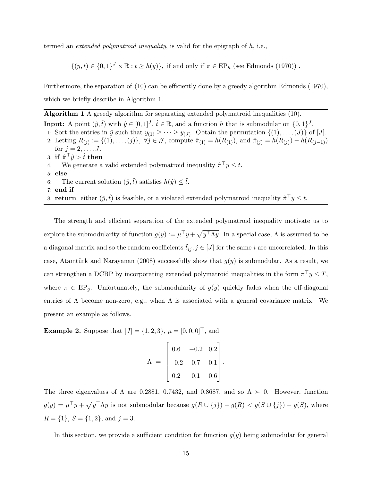termed an *extended polymatroid inequality*, is valid for the epigraph of  $h$ , i.e.,

 $\{(y, t) \in \{0, 1\}^J \times \mathbb{R} : t \ge h(y)\},\$ if and only if  $\pi \in \mathrm{EP}_h$  (see Edmonds (1970)).

Furthermore, the separation of (10) can be efficiently done by a greedy algorithm Edmonds (1970), which we briefly describe in Algorithm 1.

Algorithm 1 A greedy algorithm for separating extended polymatroid inequalities (10).

**Input:** A point  $(\hat{y}, \hat{t})$  with  $\hat{y} \in [0, 1]^J$ ,  $\hat{t} \in \mathbb{R}$ , and a function h that is submodular on  $\{0, 1\}^J$ .

- 1: Sort the entries in  $\hat{y}$  such that  $y_{(1)} \geq \cdots \geq y_{(J)}$ . Obtain the permutation  $\{(1), \ldots, (J)\}$  of [J]. 2: Letting  $R_{(j)} := \{(1), \ldots, (j)\}, \ \forall j \in \mathcal{J}, \ \text{compute} \ \hat{\pi}_{(1)} = h(R_{(1)}), \ \text{and} \ \hat{\pi}_{(j)} = h(R_{(j)}) - h(R_{(j-1)})$ for  $j = 2, ..., J$ .
- $\text{3: if } \hat{\pi}^\top \hat{y} > \hat{t} \text{ then}$
- 4: We generate a valid extended polymatroid inequality  $\hat{\pi}^\top y \leq t$ .
- 5: else
- 6: The current solution  $(\hat{y}, \hat{t})$  satisfies  $h(\hat{y}) \leq \hat{t}$ .
- 7: end if

8: **return** either  $(\hat{y}, \hat{t})$  is feasible, or a violated extended polymatroid inequality  $\hat{\pi}^\top y \leq t$ .

The strength and efficient separation of the extended polymatroid inequality motivate us to explore the submodularity of function  $g(y) := \mu^{\top} y + \sqrt{y^{\top} \Lambda y}$ . In a special case,  $\Lambda$  is assumed to be a diagonal matrix and so the random coefficients  $\tilde{t}_{ij}$ ,  $j \in [J]$  for the same i are uncorrelated. In this case, Atamtürk and Narayanan (2008) successfully show that  $g(y)$  is submodular. As a result, we can strengthen a DCBP by incorporating extended polymatroid inequalities in the form  $\pi^{\top} y \leq T$ , where  $\pi \in \text{EP}_q$ . Unfortunately, the submodularity of  $g(y)$  quickly fades when the off-diagonal entries of  $\Lambda$  become non-zero, e.g., when  $\Lambda$  is associated with a general covariance matrix. We present an example as follows.

**Example 2.** Suppose that  $[J] = \{1, 2, 3\}, \mu = [0, 0, 0]^\top$ , and

$$
\Lambda = \begin{bmatrix} 0.6 & -0.2 & 0.2 \\ -0.2 & 0.7 & 0.1 \\ 0.2 & 0.1 & 0.6 \end{bmatrix}
$$

.

The three eigenvalues of  $\Lambda$  are 0.2881, 0.7432, and 0.8687, and so  $\Lambda \succ 0$ . However, function  $g(y) = \mu^{\top}y + \sqrt{y^{\top}\Lambda y}$  is not submodular because  $g(R \cup \{j\}) - g(R) < g(S \cup \{j\}) - g(S)$ , where  $R = \{1\}, S = \{1, 2\}, \text{ and } j = 3.$ 

In this section, we provide a sufficient condition for function  $g(y)$  being submodular for general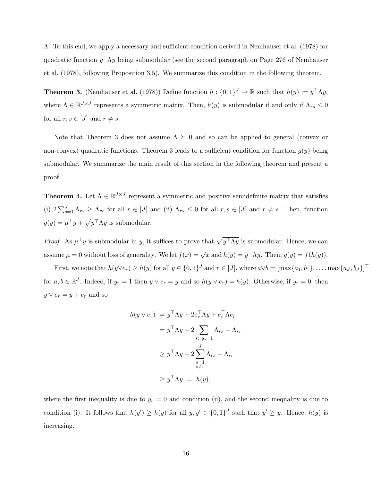Λ. To this end, we apply a necessary and sufficient condition derived in Nemhauser et al. (1978) for quadratic function  $y^{\top} \Lambda y$  being submodular (see the second paragraph on Page 276 of Nemhauser et al. (1978), following Proposition 3.5). We summarize this condition in the following theorem.

**Theorem 3.** (Nemhauser et al. (1978)) Define function  $h: \{0,1\}^J \to \mathbb{R}$  such that  $h(y) := y^\top \Lambda y$ , where  $\Lambda \in \mathbb{R}^{J \times J}$  represents a symmetric matrix. Then,  $h(y)$  is submodular if and only if  $\Lambda_{rs} \leq 0$ for all  $r, s \in [J]$  and  $r \neq s$ .

Note that Theorem 3 does not assume  $\Lambda \succeq 0$  and so can be applied to general (convex or non-convex) quadratic functions. Theorem 3 leads to a sufficient condition for function  $g(y)$  being submodular. We summarize the main result of this section in the following theorem and present a proof.

**Theorem 4.** Let  $\Lambda \in \mathbb{R}^{J \times J}$  represent a symmetric and positive semidefinite matrix that satisfies (i)  $2\sum_{s=1}^{J} \Lambda_{rs} \geq \Lambda_{rr}$  for all  $r \in [J]$  and (ii)  $\Lambda_{rs} \leq 0$  for all  $r, s \in [J]$  and  $r \neq s$ . Then, function  $g(y) = \mu^{\top} y + \sqrt{y^{\top} \Lambda y}$  is submodular.

*Proof.* As  $\mu^{\top}y$  is submodular in y, it suffices to prove that  $\sqrt{y^{\top}\Lambda y}$  is submodular. Hence, we can assume  $\mu = 0$  without loss of generality. We let  $f(x) = \sqrt{x}$  and  $h(y) = y^{\top} \Lambda y$ . Then,  $g(y) = f(h(y))$ .

First, we note that  $h(y \vee e_r) \geq h(y)$  for all  $y \in \{0,1\}^J$  and  $r \in [J]$ , where  $a \vee b = [\max\{a_1, b_1\}, \ldots, \max\{a_J, b_J\}]^{\top}$ for  $a, b \in \mathbb{R}^J$ . Indeed, if  $y_r = 1$  then  $y \vee e_r = y$  and so  $h(y \vee e_r) = h(y)$ . Otherwise, if  $y_r = 0$ , then  $y \vee e_r = y + e_r$  and so

$$
h(y \vee e_r) = y^{\top} \Lambda y + 2e_r^{\top} \Lambda y + e_r^{\top} \Lambda e_r
$$
  

$$
= y^{\top} \Lambda y + 2 \sum_{s: y_s=1} \Lambda_{rs} + \Lambda_{rr}
$$
  

$$
\geq y^{\top} \Lambda y + 2 \sum_{\substack{s=1 \ s \neq r}}^{J} \Lambda_{rs} + \Lambda_{rr}
$$
  

$$
\geq y^{\top} \Lambda y = h(y),
$$

where the first inequality is due to  $y_r = 0$  and condition (ii), and the second inequality is due to condition (i). It follows that  $h(y') \geq h(y)$  for all  $y, y' \in \{0, 1\}^J$  such that  $y' \geq y$ . Hence,  $h(y)$  is increasing.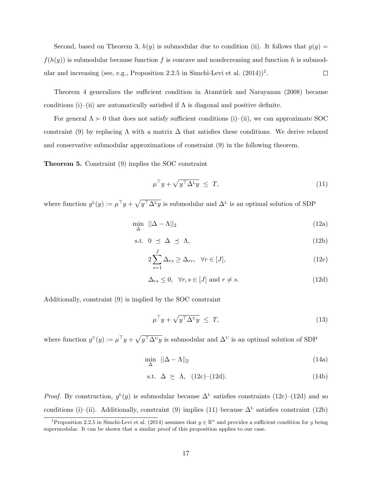Second, based on Theorem 3,  $h(y)$  is submodular due to condition (ii). It follows that  $g(y) =$  $f(h(y))$  is submodular because function f is concave and nondecreasing and function h is submodular and increasing (see, e.g., Proposition 2.2.5 in Simchi-Levi et al.  $(2014)^{1}$ .  $\Box$ 

Theorem 4 generalizes the sufficient condition in Atamtürk and Narayanan (2008) because conditions (i)–(ii) are automatically satisfied if  $\Lambda$  is diagonal and positive definite.

For general  $\Lambda \succ 0$  that does not satisfy sufficient conditions (i)–(ii), we can approximate SOC constraint (9) by replacing  $\Lambda$  with a matrix  $\Delta$  that satisfies these conditions. We derive relaxed and conservative submodular approximations of constraint (9) in the following theorem.

Theorem 5. Constraint (9) implies the SOC constraint

$$
\mu^{\top} y + \sqrt{y^{\top} \Delta^{\mathsf{L}} y} \leq T, \tag{11}
$$

where function  $g^L(y) := \mu^{\top} y + \sqrt{y^{\top} \Delta^L y}$  is submodular and  $\Delta^L$  is an optimal solution of SDP

$$
\min_{\Delta} \quad ||\Delta - \Lambda||_2 \tag{12a}
$$

$$
s.t. \quad 0 \leq \Delta \leq \Lambda,\tag{12b}
$$

$$
2\sum_{s=1}^{J} \Delta_{rs} \ge \Delta_{rr}, \quad \forall r \in [J], \tag{12c}
$$

$$
\Delta_{rs} \le 0, \quad \forall r, s \in [J] \text{ and } r \ne s. \tag{12d}
$$

Additionally, constraint (9) is implied by the SOC constraint

$$
\mu^{\top} y + \sqrt{y^{\top} \Delta^{\mathbf{U}} y} \leq T, \tag{13}
$$

where function  $g^{\text{U}}(y) := \mu^{\top} y + \sqrt{y^{\top} \Delta^{\text{U}} y}$  is submodular and  $\Delta^{\text{U}}$  is an optimal solution of SDP

$$
\min_{\Delta} \quad ||\Delta - \Lambda||_2 \tag{14a}
$$

$$
s.t. \Delta \ge \Lambda, (12c)-(12d). \tag{14b}
$$

*Proof.* By construction,  $g^L(y)$  is submodular because  $\Delta^L$  satisfies constraints (12c)–(12d) and so conditions (i)–(ii). Additionally, constraint (9) implies (11) because  $\Delta^L$  satisfies constraint (12b)

<sup>&</sup>lt;sup>1</sup>Proposition 2.2.5 in Simchi-Levi et al. (2014) assumes that  $y \in \mathbb{R}^n$  and provides a sufficient condition for g being supermodular. It can be shown that a similar proof of this proposition applies to our case.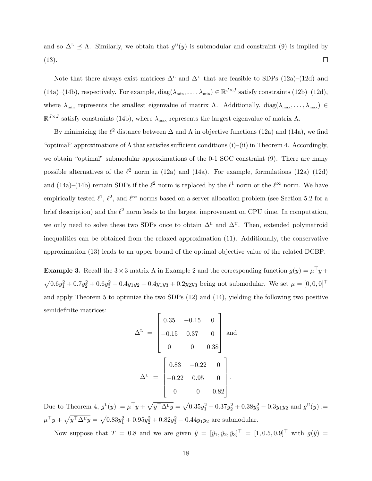and so  $\Delta^L \leq \Lambda$ . Similarly, we obtain that  $g^{\text{U}}(y)$  is submodular and constraint (9) is implied by (13).  $\Box$ 

Note that there always exist matrices  $\Delta^L$  and  $\Delta^U$  that are feasible to SDPs (12a)–(12d) and (14a)–(14b), respectively. For example,  $diag(\lambda_{\min}, \ldots, \lambda_{\min}) \in \mathbb{R}^{J \times J}$  satisfy constraints (12b)–(12d), where  $\lambda_{\min}$  represents the smallest eigenvalue of matrix  $\Lambda$ . Additionally,  $diag(\lambda_{\max}, \ldots, \lambda_{\max}) \in$  $\mathbb{R}^{J \times J}$  satisfy constraints (14b), where  $\lambda_{\max}$  represents the largest eigenvalue of matrix  $\Lambda$ .

By minimizing the  $\ell^2$  distance between  $\Delta$  and  $\Lambda$  in objective functions (12a) and (14a), we find "optimal" approximations of  $\Lambda$  that satisfies sufficient conditions (i)–(ii) in Theorem 4. Accordingly, we obtain "optimal" submodular approximations of the 0-1 SOC constraint (9). There are many possible alternatives of the  $\ell^2$  norm in (12a) and (14a). For example, formulations (12a)–(12d) and (14a)–(14b) remain SDPs if the  $\ell^2$  norm is replaced by the  $\ell^1$  norm or the  $\ell^{\infty}$  norm. We have empirically tested  $\ell^1$ ,  $\ell^2$ , and  $\ell^{\infty}$  norms based on a server allocation problem (see Section 5.2 for a brief description) and the  $\ell^2$  norm leads to the largest improvement on CPU time. In computation, we only need to solve these two SDPs once to obtain  $\Delta^L$  and  $\Delta^U$ . Then, extended polymatroid inequalities can be obtained from the relaxed approximation (11). Additionally, the conservative approximation (13) leads to an upper bound of the optimal objective value of the related DCBP.

**Example 3.** Recall the  $3 \times 3$  matrix  $\Lambda$  in Example 2 and the corresponding function  $g(y) = \mu^{\top} y + \lambda^{\top} y$  $\sqrt{0.6y_1^2 + 0.7y_2^2 + 0.6y_3^2 - 0.4y_1y_2 + 0.4y_1y_3 + 0.2y_2y_3}$  being not submodular. We set  $\mu = [0, 0, 0]^\top$ and apply Theorem 5 to optimize the two SDPs (12) and (14), yielding the following two positive semidefinite matrices:

$$
\Delta^{L} = \begin{bmatrix} 0.35 & -0.15 & 0 \\ -0.15 & 0.37 & 0 \\ 0 & 0 & 0.38 \end{bmatrix}
$$
 and  

$$
\Delta^{U} = \begin{bmatrix} 0.83 & -0.22 & 0 \\ -0.22 & 0.95 & 0 \\ 0 & 0 & 0.82 \end{bmatrix}.
$$

Due to Theorem 4,  $g^L(y) := \mu^{\top} y + \sqrt{y^{\top} \Delta^L y} = \sqrt{0.35y_1^2 + 0.37y_2^2 + 0.38y_3^2 - 0.3y_1y_2}$  and  $g^U(y) :=$  $\mu^{\top}y + \sqrt{y^{\top}\Delta^{\mathbf{U}}y} = \sqrt{0.83y_1^2 + 0.95y_2^2 + 0.82y_3^2 - 0.44y_1y_2}$  are submodular.

Now suppose that  $T = 0.8$  and we are given  $\hat{y} = [\hat{y}_1, \hat{y}_2, \hat{y}_3]^{\top} = [1, 0.5, 0.9]^{\top}$  with  $g(\hat{y}) =$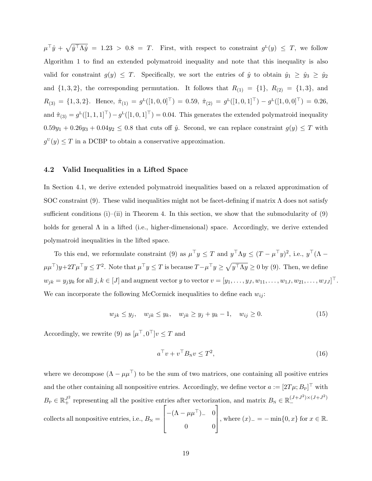$\mu^{\top} \hat{y} + \sqrt{\hat{y}^{\top} \Lambda \hat{y}} = 1.23 > 0.8 = T$ . First, with respect to constraint  $g^L(y) \leq T$ , we follow Algorithm 1 to find an extended polymatroid inequality and note that this inequality is also valid for constraint  $g(y) \leq T$ . Specifically, we sort the entries of  $\hat{y}$  to obtain  $\hat{y}_1 \geq \hat{y}_3 \geq \hat{y}_2$ and  $\{1, 3, 2\}$ , the corresponding permutation. It follows that  $R_{(1)} = \{1\}$ ,  $R_{(2)} = \{1, 3\}$ , and  $R_{(3)} = \{1,3,2\}$ . Hence,  $\hat{\pi}_{(1)} = g^{\text{L}}([1,0,0]^{\top}) = 0.59$ ,  $\hat{\pi}_{(2)} = g^{\text{L}}([1,0,1]^{\top}) - g^{\text{L}}([1,0,0]^{\top}) = 0.26$ , and  $\hat{\pi}_{(3)} = g^L([1, 1, 1]^T) - g^L([1, 0, 1]^T) = 0.04$ . This generates the extended polymatroid inequality  $0.59y_1 + 0.26y_3 + 0.04y_2 \le 0.8$  that cuts off  $\hat{y}$ . Second, we can replace constraint  $g(y) \le T$  with  $g^{\text{U}}(y) \leq T$  in a DCBP to obtain a conservative approximation.

#### 4.2 Valid Inequalities in a Lifted Space

In Section 4.1, we derive extended polymatroid inequalities based on a relaxed approximation of SOC constraint (9). These valid inequalities might not be facet-defining if matrix  $\Lambda$  does not satisfy sufficient conditions  $(i)$ –(ii) in Theorem 4. In this section, we show that the submodularity of (9) holds for general  $\Lambda$  in a lifted (i.e., higher-dimensional) space. Accordingly, we derive extended polymatroid inequalities in the lifted space.

To this end, we reformulate constraint (9) as  $\mu^{\top} y \leq T$  and  $y^{\top} \Lambda y \leq (T - \mu^{\top} y)^2$ , i.e.,  $y^{\top} (\Lambda \mu\mu^{\top}y+2T\mu^{\top}y\leq T^{2}$ . Note that  $\mu^{\top}y\leq T$  is because  $T-\mu^{\top}y\geq\sqrt{y^{\top}\Lambda y}\geq0$  by (9). Then, we define  $w_{jk} = y_j y_k$  for all  $j, k \in [J]$  and augment vector  $y$  to vector  $v = [y_1, \ldots, y_J, w_{11}, \ldots, w_{1J}, w_{21}, \ldots, w_{JJ}]^{\top}$ . We can incorporate the following McCormick inequalities to define each  $w_{ii}$ :

$$
w_{jk} \le y_j, \quad w_{jk} \le y_k, \quad w_{jk} \ge y_j + y_k - 1, \quad w_{ij} \ge 0.
$$
 (15)

Accordingly, we rewrite (9) as  $[\mu^\top, 0^\top] v \leq T$  and

$$
a^{\top}v + v^{\top}B_{N}v \leq T^{2},\tag{16}
$$

where we decompose  $(\Lambda - \mu \mu^{\top})$  to be the sum of two matrices, one containing all positive entries and the other containing all nonpositive entries. Accordingly, we define vector  $a := [2T\mu; B_P]^\top$  with  $B_P \in \mathbb{R}^{J^2}_+$  representing all the positive entries after vectorization, and matrix  $B_N \in \mathbb{R}^{(J+J^2) \times (J+J^2)}_+$ − collects all nonpositive entries, i.e.,  $B_N =$  $\sqrt{ }$  $\vert$  $-(\Lambda - \mu \mu^{\top})$ <sub>-</sub> 0 0 0 1 , where  $(x)$ <sub>−</sub> = − min{0, x} for  $x \in \mathbb{R}$ .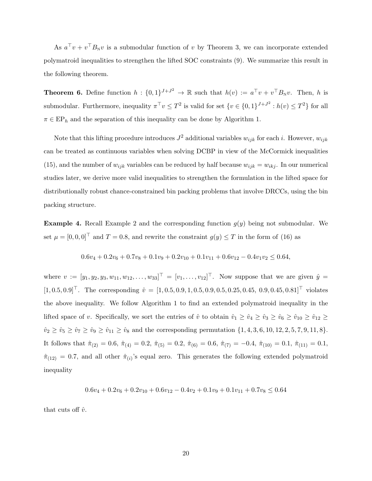As  $a^{\top}v + v^{\top}B_{N}v$  is a submodular function of v by Theorem 3, we can incorporate extended polymatroid inequalities to strengthen the lifted SOC constraints (9). We summarize this result in the following theorem.

**Theorem 6.** Define function  $h: \{0,1\}^{J+J^2} \to \mathbb{R}$  such that  $h(v) := a^{\top}v + v^{\top}B_{N}v$ . Then, h is submodular. Furthermore, inequality  $\pi^{\top} v \leq T^2$  is valid for set  $\{v \in \{0,1\}^{J+J^2} : h(v) \leq T^2\}$  for all  $\pi \in \mathrm{EP}_h$  and the separation of this inequality can be done by Algorithm 1.

Note that this lifting procedure introduces  $J^2$  additional variables  $w_{ijk}$  for each i. However,  $w_{ijk}$ can be treated as continuous variables when solving DCBP in view of the McCormick inequalities (15), and the number of  $w_{ijk}$  variables can be reduced by half because  $w_{ijk} = w_{ikj}$ . In our numerical studies later, we derive more valid inequalities to strengthen the formulation in the lifted space for distributionally robust chance-constrained bin packing problems that involve DRCCs, using the bin packing structure.

**Example 4.** Recall Example 2 and the corresponding function  $g(y)$  being not submodular. We set  $\mu = [0, 0, 0]^T$  and  $T = 0.8$ , and rewrite the constraint  $g(y) \leq T$  in the form of (16) as

$$
0.6v_4 + 0.2v_6 + 0.7v_8 + 0.1v_9 + 0.2v_{10} + 0.1v_{11} + 0.6v_{12} - 0.4v_1v_2 \le 0.64,
$$

where  $v := [y_1, y_2, y_3, w_{11}, w_{12}, \dots, w_{33}]^\top = [v_1, \dots, v_{12}]^\top$ . Now suppose that we are given  $\hat{y} =$  $[1, 0.5, 0.9]^\top$ . The corresponding  $\hat{v} = [1, 0.5, 0.9, 1, 0.5, 0.9, 0.5, 0.25, 0.45, 0.9, 0.45, 0.81]^\top$  violates the above inequality. We follow Algorithm 1 to find an extended polymatroid inequality in the lifted space of v. Specifically, we sort the entries of  $\hat{v}$  to obtain  $\hat{v}_1 \ge \hat{v}_4 \ge \hat{v}_3 \ge \hat{v}_6 \ge \hat{v}_{10} \ge \hat{v}_{12} \ge$  $\hat{v}_2 \geq \hat{v}_5 \geq \hat{v}_7 \geq \hat{v}_9 \geq \hat{v}_{11} \geq \hat{v}_8$  and the corresponding permutation  $\{1, 4, 3, 6, 10, 12, 2, 5, 7, 9, 11, 8\}.$ It follows that  $\hat{\pi}_{(2)} = 0.6$ ,  $\hat{\pi}_{(4)} = 0.2$ ,  $\hat{\pi}_{(5)} = 0.2$ ,  $\hat{\pi}_{(6)} = 0.6$ ,  $\hat{\pi}_{(7)} = -0.4$ ,  $\hat{\pi}_{(10)} = 0.1$ ,  $\hat{\pi}_{(11)} = 0.1$ ,  $\hat{\pi}_{(12)} = 0.7$ , and all other  $\hat{\pi}_{(i)}$ 's equal zero. This generates the following extended polymatroid inequality

$$
0.6v_4 + 0.2v_6 + 0.2v_{10} + 0.6v_{12} - 0.4v_2 + 0.1v_9 + 0.1v_{11} + 0.7v_8 \le 0.64
$$

that cuts off  $\hat{v}$ .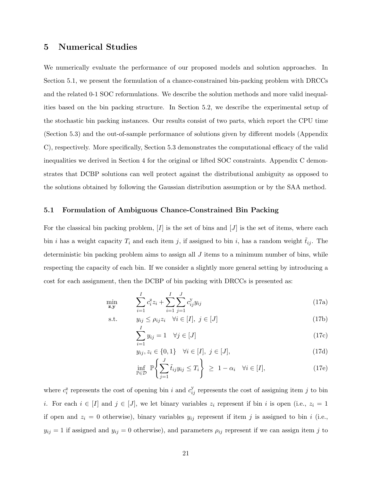## 5 Numerical Studies

We numerically evaluate the performance of our proposed models and solution approaches. In Section 5.1, we present the formulation of a chance-constrained bin-packing problem with DRCCs and the related 0-1 SOC reformulations. We describe the solution methods and more valid inequalities based on the bin packing structure. In Section 5.2, we describe the experimental setup of the stochastic bin packing instances. Our results consist of two parts, which report the CPU time (Section 5.3) and the out-of-sample performance of solutions given by different models (Appendix C), respectively. More specifically, Section 5.3 demonstrates the computational efficacy of the valid inequalities we derived in Section 4 for the original or lifted SOC constraints. Appendix C demonstrates that DCBP solutions can well protect against the distributional ambiguity as opposed to the solutions obtained by following the Gaussian distribution assumption or by the SAA method.

### 5.1 Formulation of Ambiguous Chance-Constrained Bin Packing

For the classical bin packing problem,  $[I]$  is the set of bins and  $[J]$  is the set of items, where each bin i has a weight capacity  $T_i$  and each item j, if assigned to bin i, has a random weight  $t_{ij}$ . The deterministic bin packing problem aims to assign all  $J$  items to a minimum number of bins, while respecting the capacity of each bin. If we consider a slightly more general setting by introducing a cost for each assignment, then the DCBP of bin packing with DRCCs is presented as:

$$
\min_{\mathbf{z}, \mathbf{y}} \qquad \sum_{i=1}^{I} c_i^z z_i + \sum_{i=1}^{I} \sum_{j=1}^{J} c_{ij}^y y_{ij} \tag{17a}
$$

s.t. 
$$
y_{ij} \le \rho_{ij} z_i \quad \forall i \in [I], j \in [J]
$$
 (17b)

$$
\sum_{i=1} y_{ij} = 1 \quad \forall j \in [J] \tag{17c}
$$

$$
y_{ij}, z_i \in \{0, 1\} \quad \forall i \in [I], \ j \in [J], \tag{17d}
$$

$$
\inf_{\mathbb{P}\in\mathcal{D}} \mathbb{P}\left\{\sum_{j=1}^{J} \tilde{t}_{ij} y_{ij} \le T_i\right\} \ge 1 - \alpha_i \quad \forall i \in [I],\tag{17e}
$$

where  $c_i^z$  represents the cost of opening bin i and  $c_{ij}^y$  represents the cost of assigning item j to bin i. For each  $i \in [I]$  and  $j \in [J]$ , we let binary variables  $z_i$  represent if bin i is open (i.e.,  $z_i = 1$ ) if open and  $z_i = 0$  otherwise), binary variables  $y_{ij}$  represent if item j is assigned to bin i (i.e.,  $y_{ij} = 1$  if assigned and  $y_{ij} = 0$  otherwise), and parameters  $\rho_{ij}$  represent if we can assign item j to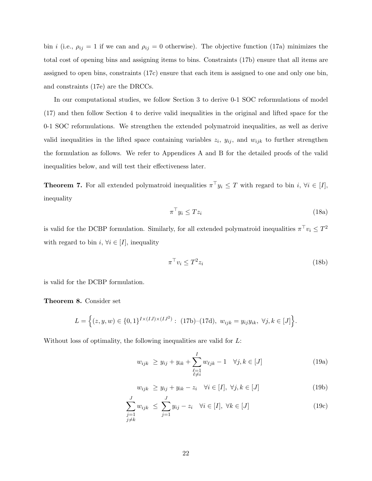bin i (i.e.,  $\rho_{ij} = 1$  if we can and  $\rho_{ij} = 0$  otherwise). The objective function (17a) minimizes the total cost of opening bins and assigning items to bins. Constraints (17b) ensure that all items are assigned to open bins, constraints (17c) ensure that each item is assigned to one and only one bin, and constraints (17e) are the DRCCs.

In our computational studies, we follow Section 3 to derive 0-1 SOC reformulations of model (17) and then follow Section 4 to derive valid inequalities in the original and lifted space for the 0-1 SOC reformulations. We strengthen the extended polymatroid inequalities, as well as derive valid inequalities in the lifted space containing variables  $z_i$ ,  $y_{ij}$ , and  $w_{ijk}$  to further strengthen the formulation as follows. We refer to Appendices A and B for the detailed proofs of the valid inequalities below, and will test their effectiveness later.

**Theorem 7.** For all extended polymatroid inequalities  $\pi^{\top} y_i \leq T$  with regard to bin i,  $\forall i \in [I],$ inequality

$$
\pi^{\top} y_i \le T z_i \tag{18a}
$$

is valid for the DCBP formulation. Similarly, for all extended polymatroid inequalities  $\pi^{\top} v_i \leq T^2$ with regard to bin  $i, \forall i \in [I]$ , inequality

$$
\pi^{\top} v_i \le T^2 z_i \tag{18b}
$$

is valid for the DCBP formulation.

Theorem 8. Consider set

$$
L = \Big\{ (z, y, w) \in \{0, 1\}^{I \times (IJ) \times (IJ^2)} : (17b) - (17d), w_{ijk} = y_{ij}y_{ik}, \ \forall j, k \in [J] \Big\}.
$$

Without loss of optimality, the following inequalities are valid for L:

$$
w_{ijk} \ge y_{ij} + y_{ik} + \sum_{\substack{\ell=1 \\ \ell \neq i}}^{I} w_{\ell jk} - 1 \quad \forall j, k \in [J]
$$
 (19a)

$$
w_{ijk} \ge y_{ij} + y_{ik} - z_i \quad \forall i \in [I], \ \forall j, k \in [J]
$$
\n
$$
(19b)
$$

$$
\sum_{\substack{j=1 \ j \neq k}}^J w_{ijk} \le \sum_{j=1}^J y_{ij} - z_i \quad \forall i \in [I], \ \forall k \in [J]
$$
\n(19c)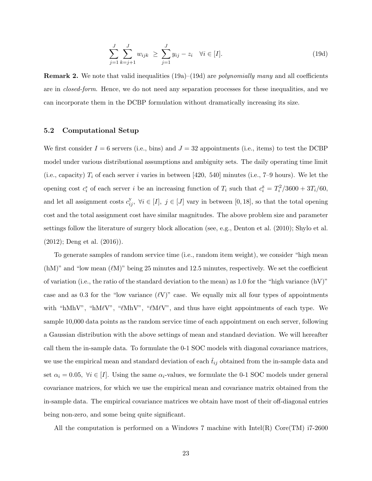$$
\sum_{j=1}^{J} \sum_{k=j+1}^{J} w_{ijk} \ge \sum_{j=1}^{J} y_{ij} - z_i \quad \forall i \in [I].
$$
\n(19d)

**Remark 2.** We note that valid inequalities  $(19a)$ – $(19d)$  are *polynomially many* and all coefficients are in closed-form. Hence, we do not need any separation processes for these inequalities, and we can incorporate them in the DCBP formulation without dramatically increasing its size.

### 5.2 Computational Setup

We first consider  $I = 6$  servers (i.e., bins) and  $J = 32$  appointments (i.e., items) to test the DCBP model under various distributional assumptions and ambiguity sets. The daily operating time limit (i.e., capacity)  $T_i$  of each server i varies in between [420, 540] minutes (i.e., 7–9 hours). We let the opening cost  $c_i^z$  of each server i be an increasing function of  $T_i$  such that  $c_i^z = T_i^2/3600 + 3T_i/60$ , and let all assignment costs  $c_{ij}^y$ ,  $\forall i \in [I], j \in [J]$  vary in between [0, 18], so that the total opening cost and the total assignment cost have similar magnitudes. The above problem size and parameter settings follow the literature of surgery block allocation (see, e.g., Denton et al. (2010); Shylo et al. (2012); Deng et al. (2016)).

To generate samples of random service time (i.e., random item weight), we consider "high mean (hM)" and "low mean  $(\ell M)$ " being 25 minutes and 12.5 minutes, respectively. We set the coefficient of variation (i.e., the ratio of the standard deviation to the mean) as 1.0 for the "high variance  $(hV)$ " case and as 0.3 for the "low variance  $(\ell V)$ " case. We equally mix all four types of appointments with "hMhV", "hM $\ell$ V", " $\ell$ MhV", " $\ell$ M $\ell$ V", and thus have eight appointments of each type. We sample 10,000 data points as the random service time of each appointment on each server, following a Gaussian distribution with the above settings of mean and standard deviation. We will hereafter call them the in-sample data. To formulate the 0-1 SOC models with diagonal covariance matrices, we use the empirical mean and standard deviation of each  $t_{ij}$  obtained from the in-sample data and set  $\alpha_i = 0.05$ ,  $\forall i \in [I]$ . Using the same  $\alpha_i$ -values, we formulate the 0-1 SOC models under general covariance matrices, for which we use the empirical mean and covariance matrix obtained from the in-sample data. The empirical covariance matrices we obtain have most of their off-diagonal entries being non-zero, and some being quite significant.

All the computation is performed on a Windows 7 machine with Intel(R) Core(TM)  $i7-2600$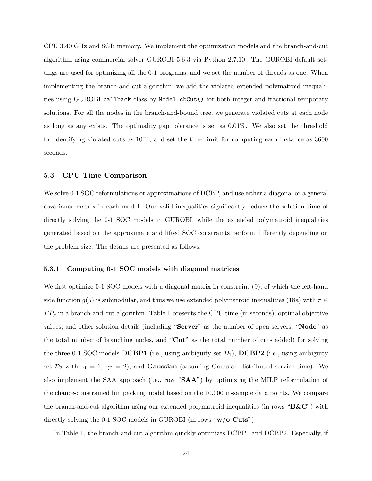CPU 3.40 GHz and 8GB memory. We implement the optimization models and the branch-and-cut algorithm using commercial solver GUROBI 5.6.3 via Python 2.7.10. The GUROBI default settings are used for optimizing all the 0-1 programs, and we set the number of threads as one. When implementing the branch-and-cut algorithm, we add the violated extended polymatroid inequalities using GUROBI callback class by Model.cbCut() for both integer and fractional temporary solutions. For all the nodes in the branch-and-bound tree, we generate violated cuts at each node as long as any exists. The optimality gap tolerance is set as 0.01%. We also set the threshold for identifying violated cuts as  $10^{-4}$ , and set the time limit for computing each instance as 3600 seconds.

### 5.3 CPU Time Comparison

We solve 0-1 SOC reformulations or approximations of DCBP, and use either a diagonal or a general covariance matrix in each model. Our valid inequalities significantly reduce the solution time of directly solving the 0-1 SOC models in GUROBI, while the extended polymatroid inequalities generated based on the approximate and lifted SOC constraints perform differently depending on the problem size. The details are presented as follows.

#### 5.3.1 Computing 0-1 SOC models with diagonal matrices

We first optimize 0-1 SOC models with a diagonal matrix in constraint  $(9)$ , of which the left-hand side function  $g(y)$  is submodular, and thus we use extended polymatroid inequalities (18a) with  $\pi \in$  $EP_q$  in a branch-and-cut algorithm. Table 1 presents the CPU time (in seconds), optimal objective values, and other solution details (including "Server" as the number of open servers, "Node" as the total number of branching nodes, and "Cut" as the total number of cuts added) for solving the three 0-1 SOC models DCBP1 (i.e., using ambiguity set  $\mathcal{D}_1$ ), DCBP2 (i.e., using ambiguity set  $\mathcal{D}_2$  with  $\gamma_1 = 1$ ,  $\gamma_2 = 2$ ), and **Gaussian** (assuming Gaussian distributed service time). We also implement the SAA approach (i.e., row "SAA") by optimizing the MILP reformulation of the chance-constrained bin packing model based on the 10,000 in-sample data points. We compare the branch-and-cut algorithm using our extended polymatroid inequalities (in rows " $B\&C$ ") with directly solving the 0-1 SOC models in GUROBI (in rows "w/o Cuts").

In Table 1, the branch-and-cut algorithm quickly optimizes DCBP1 and DCBP2. Especially, if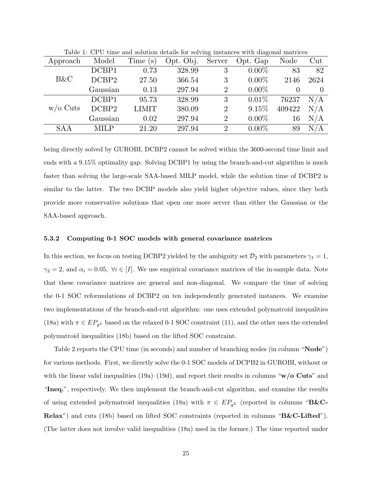| Approach   | Model       | Time<br>$(\rm s)$ | Opt. Obj. | $\check{ }$<br>Server | Opt. Gap | Node   | Cut       |
|------------|-------------|-------------------|-----------|-----------------------|----------|--------|-----------|
|            | DCBP1       | 0.73              | 328.99    | 3                     | $0.00\%$ | 83     | 82        |
| B&C        | DCBP2       | 27.50             | 366.54    | 3                     | $0.00\%$ | 2146   | 2624      |
|            | Gaussian    | 0.13              | 297.94    | $\overline{2}$        | $0.00\%$ |        |           |
|            | DCBP1       | 95.73             | 328.99    | 3                     | 0.01%    | 76237  | N/A       |
| $w/o$ Cuts | DCBP2       | <b>LIMIT</b>      | 380.09    | $\overline{2}$        | 9.15%    | 409422 | $\rm N/A$ |
|            | Gaussian    | 0.02              | 297.94    | $\overline{2}$        | $0.00\%$ | 16     | N/A       |
| <b>SAA</b> | <b>MILP</b> | 21.20             | 297.94    | $\overline{2}$        | $0.00\%$ | 89     | $\rm N/A$ |

Table 1: CPU time and solution details for solving instances with diagonal matrices

being directly solved by GUROBI, DCBP2 cannot be solved within the 3600-second time limit and ends with a 9.15% optimality gap. Solving DCBP1 by using the branch-and-cut algorithm is much faster than solving the large-scale SAA-based MILP model, while the solution time of DCBP2 is similar to the latter. The two DCBP models also yield higher objective values, since they both provide more conservative solutions that open one more server than either the Gaussian or the SAA-based approach.

### 5.3.2 Computing 0-1 SOC models with general covariance matrices

In this section, we focus on testing DCBP2 yielded by the ambiguity set  $\mathcal{D}_2$  with parameters  $\gamma_1 = 1$ ,  $\gamma_2 = 2$ , and  $\alpha_i = 0.05$ ,  $\forall i \in [I]$ . We use empirical covariance matrices of the in-sample data. Note that these covariance matrices are general and non-diagonal. We compare the time of solving the 0-1 SOC reformulations of DCBP2 on ten independently generated instances. We examine two implementations of the branch-and-cut algorithm: one uses extended polymatroid inequalities (18a) with  $\pi \in EP_{q^L}$  based on the relaxed 0-1 SOC constraint (11), and the other uses the extended polymatroid inequalities (18b) based on the lifted SOC constraint.

Table 2 reports the CPU time (in seconds) and number of branching nodes (in column "Node") for various methods. First, we directly solve the 0-1 SOC models of DCPB2 in GUROBI, without or with the linear valid inequalities (19a)–(19d), and report their results in columns " $w/o$  Cuts" and "Ineq.", respectively. We then implement the branch-and-cut algorithm, and examine the results of using extended polymatroid inequalities (18a) with  $\pi \in EP_{g^L}$  (reported in columns "B&C-Relax") and cuts (18b) based on lifted SOC constraints (reported in columns "B&C-Lifted"). (The latter does not involve valid inequalities (18a) used in the former.) The time reported under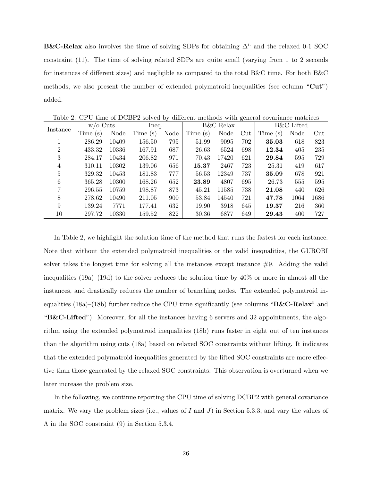B&C-Relax also involves the time of solving SDPs for obtaining  $\Delta^L$  and the relaxed 0-1 SOC constraint (11). The time of solving related SDPs are quite small (varying from 1 to 2 seconds for instances of different sizes) and negligible as compared to the total B&C time. For both B&C methods, we also present the number of extended polymatroid inequalities (see column "Cut") added.

| Instance       | $w/o$ Cuts |       | Ineq.   |      | $B&C$ -Relax |       |     | B&C-Lifted |      |                 |
|----------------|------------|-------|---------|------|--------------|-------|-----|------------|------|-----------------|
|                | Time(s)    | Node  | Time(s) | Node | Time (s)     | Node  | Cut | Time(s)    | Node | $_{\text{Cut}}$ |
|                | 286.29     | 10409 | 156.50  | 795  | 51.99        | 9095  | 702 | 35.03      | 618  | 823             |
| $\overline{2}$ | 433.32     | 10336 | 167.91  | 687  | 26.63        | 6524  | 698 | 12.34      | 405  | 235             |
| 3              | 284.17     | 10434 | 206.82  | 971  | 70.43        | 17420 | 621 | 29.84      | 595  | 729             |
| 4              | 310.11     | 10302 | 139.06  | 656  | 15.37        | 2467  | 723 | 25.31      | 419  | 617             |
| 5              | 329.32     | 10453 | 181.83  | 777  | 56.53        | 12349 | 737 | 35.09      | 678  | 921             |
| 6              | 365.28     | 10300 | 168.26  | 652  | 23.89        | 4807  | 695 | 26.73      | 555  | 595             |
| 7              | 296.55     | 10759 | 198.87  | 873  | 45.21        | 11585 | 738 | 21.08      | 440  | 626             |
| 8              | 278.62     | 10490 | 211.05  | 900  | 53.84        | 14540 | 721 | 47.78      | 1064 | 1686            |
| 9              | 139.24     | 7771  | 177.41  | 632  | 19.90        | 3918  | 645 | 19.37      | 216  | 360             |
| 10             | 297.72     | 10330 | 159.52  | 822  | 30.36        | 6877  | 649 | 29.43      | 400  | 727             |

Table 2: CPU time of DCBP2 solved by different methods with general covariance matrices

In Table 2, we highlight the solution time of the method that runs the fastest for each instance. Note that without the extended polymatroid inequalities or the valid inequalities, the GUROBI solver takes the longest time for solving all the instances except instance  $#9$ . Adding the valid inequalities (19a)–(19d) to the solver reduces the solution time by 40% or more in almost all the instances, and drastically reduces the number of branching nodes. The extended polymatroid inequalities  $(18a)$ – $(18b)$  further reduce the CPU time significantly (see columns "B&C-Relax" and " $B&C\text{-Lifted}$ "). Moreover, for all the instances having 6 servers and 32 appointments, the algorithm using the extended polymatroid inequalities (18b) runs faster in eight out of ten instances than the algorithm using cuts (18a) based on relaxed SOC constraints without lifting. It indicates that the extended polymatroid inequalities generated by the lifted SOC constraints are more effective than those generated by the relaxed SOC constraints. This observation is overturned when we later increase the problem size.

In the following, we continue reporting the CPU time of solving DCBP2 with general covariance matrix. We vary the problem sizes (i.e., values of I and J) in Section 5.3.3, and vary the values of Λ in the SOC constraint (9) in Section 5.3.4.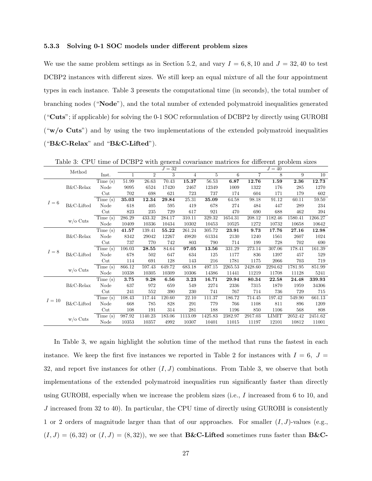#### 5.3.3 Solving 0-1 SOC models under different problem sizes

We use the same problem settings as in Section 5.2, and vary  $I = 6, 8, 10$  and  $J = 32, 40$  to test DCBP2 instances with different sizes. We still keep an equal mixture of all the four appointment types in each instance. Table 3 presents the computational time (in seconds), the total number of branching nodes ("Node"), and the total number of extended polymatroid inequalities generated ("Cuts"; if applicable) for solving the 0-1 SOC reformulation of DCBP2 by directly using GUROBI (" $w$ ) and by using the two implementations of the extended polymatroid inequalities ("B&C-Relax" and "B&C-Lifted").

|        | Method       |         |        |                | $J=32$ |         |         |         |         | $J=40$       |         |         |
|--------|--------------|---------|--------|----------------|--------|---------|---------|---------|---------|--------------|---------|---------|
|        |              | Inst.   | 1      | $\overline{2}$ | 3      | 4       | 5       | 6       | 7       | 8            | 9       | 10      |
|        | B&C-Relax    | Time(s) | 51.99  | 26.63          | 70.43  | 15.37   | 56.53   | 6.87    | 12.76   | 1.59         | 2.36    | 12.73   |
|        |              | Node    | 9095   | 6524           | 17420  | 2467    | 12349   | 1009    | 1322    | 176          | 285     | 1270    |
|        |              | Cut     | 702    | 698            | 621    | 723     | 737     | 174     | 604     | 171          | 179     | 602     |
| $I=6$  |              | Time(s) | 35.03  | 12.34          | 29.84  | 25.31   | 35.09   | 64.58   | 98.18   | 91.12        | 60.11   | 59.50   |
|        | B&C-Lifted   | Node    | 618    | 405            | 595    | 419     | 678     | 274     | 484     | 447          | 289     | 234     |
|        |              | Cut     | 823    | 235            | 729    | 617     | 921     | 470     | 690     | 688          | 462     | 394     |
|        | $w/o$ Cuts   | Time(s) | 286.29 | 433.32         | 284.17 | 310.11  | 329.32  | 1654.31 | 208.12  | 1182.46      | 1580.41 | 1266.27 |
|        |              | Node    | 10409  | 10336          | 10434  | 10302   | 10453   | 10525   | 1272    | 10732        | 10658   | 10642   |
|        |              | Time(s) | 41.57  | 139.41         | 55.22  | 261.24  | 305.72  | 23.91   | 9.73    | 17.76        | 27.16   | 12.98   |
|        | B&C-Relax    | Node    | 8342   | 29042          | 12267  | 49820   | 61334   | 2130    | 1240    | 1561         | 2607    | 1024    |
|        |              | Cut     | 737    | 770            | 742    | 803     | 790     | 714     | 199     | 728          | 702     | 690     |
| $I=8$  | B&C-Lifted   | Time(s) | 106.03 | 28.55          | 84.64  | 97.05   | 13.56   | 331.29  | 273.14  | 307.06       | 178.41  | 161.39  |
|        |              | Node    | 678    | 502            | 647    | 634     | 125     | 1177    | 836     | 1397         | 457     | 529     |
|        |              | Cut     | 114    | 691            | 128    | 143     | 216     | 1781    | 1175    | 2066         | 703     | 719     |
|        | $w/o$ Cuts   | Time(s) | 866.12 | 597.43         | 649.72 | 683.18  | 497.15  | 2265.53 | 2428.60 | 2294.62      | 1781.95 | 851.99  |
|        |              | Node    | 10338  | 10305          | 10309  | 10306   | 14386   | 11441   | 11219   | 11708        | 11128   | 5241    |
|        |              | Time(s) | 3.75   | 9.28           | 6.56   | 3.23    | 16.71   | 29.94   | 80.34   | 22.58        | 24.48   | 339.93  |
|        | $B&C$ -Relax | Node    | 637    | 972            | 659    | 549     | 2274    | 2336    | 7315    | 1870         | 1959    | 34306   |
| $I=10$ |              | Cut     | 241    | 552            | 390    | 230     | 741     | 767     | 714     | 736          | 729     | 715     |
|        |              | Time(s) | 108.43 | 117.44         | 120.60 | 22.10   | 111.37  | 186.72  | 714.45  | 197.42       | 549.90  | 661.13  |
|        | B&C-Lifted   | Node    | 668    | 785            | 828    | 291     | 779     | 766     | 1108    | 811          | 896     | 1209    |
|        |              | Cut     | 108    | 191            | 314    | 281     | 188     | 1196    | 850     | 1106         | 568     | 808     |
|        | $w/o$ Cuts   | Time(s) | 987.92 | 1140.23        | 183.06 | 1113.09 | 1425.83 | 2382.97 | 2917.03 | <b>LIMIT</b> | 2052.42 | 2451.62 |
|        |              | Node    | 10353  | 10357          | 4992   | 10307   | 10401   | 11015   | 11197   | 12101        | 10812   | 11001   |

Table 3: CPU time of DCBP2 with general covariance matrices for different problem sizes

In Table 3, we again highlight the solution time of the method that runs the fastest in each instance. We keep the first five instances we reported in Table 2 for instances with  $I = 6, J =$ 32, and report five instances for other  $(I, J)$  combinations. From Table 3, we observe that both implementations of the extended polymatroid inequalities run significantly faster than directly using GUROBI, especially when we increase the problem sizes (i.e., I increased from 6 to 10, and J increased from 32 to 40). In particular, the CPU time of directly using GUROBI is consistently 1 or 2 orders of magnitude larger than that of our approaches. For smaller  $(I, J)$ -values (e.g.,  $(I, J) = (6, 32)$  or  $(I, J) = (8, 32)$ , we see that **B&C-Lifted** sometimes runs faster than **B&C**-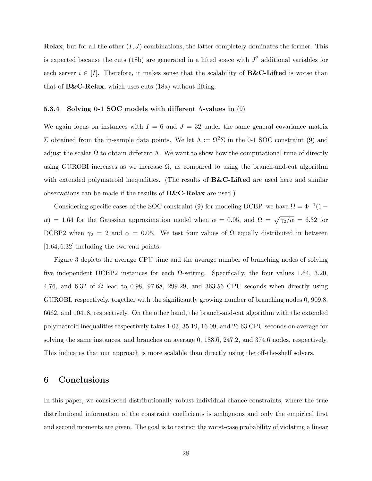**Relax**, but for all the other  $(I, J)$  combinations, the latter completely dominates the former. This is expected because the cuts (18b) are generated in a lifted space with  $J^2$  additional variables for each server  $i \in [I]$ . Therefore, it makes sense that the scalability of **B&C-Lifted** is worse than that of  $\text{B&C-Relax}$ , which uses cuts (18a) without lifting.

#### 5.3.4 Solving 0-1 SOC models with different Λ-values in (9)

We again focus on instances with  $I = 6$  and  $J = 32$  under the same general covariance matrix Σ obtained from the in-sample data points. We let  $Λ := Ω<sup>2</sup>Σ$  in the 0-1 SOC constraint (9) and adjust the scalar  $\Omega$  to obtain different  $\Lambda$ . We want to show how the computational time of directly using GUROBI increases as we increase  $\Omega$ , as compared to using the branch-and-cut algorithm with extended polymatroid inequalities. (The results of  $B\&C$ -Lifted are used here and similar observations can be made if the results of B&C-Relax are used.)

Considering specific cases of the SOC constraint (9) for modeling DCBP, we have  $\Omega = \Phi^{-1}(1 \alpha$ ) = 1.64 for the Gaussian approximation model when  $\alpha = 0.05$ , and  $\Omega = \sqrt{\gamma_2/\alpha} = 6.32$  for DCBP2 when  $\gamma_2 = 2$  and  $\alpha = 0.05$ . We test four values of  $\Omega$  equally distributed in between [1.64, 6.32] including the two end points.

Figure 3 depicts the average CPU time and the average number of branching nodes of solving five independent DCBP2 instances for each  $\Omega$ -setting. Specifically, the four values 1.64, 3.20, 4.76, and 6.32 of  $\Omega$  lead to 0.98, 97.68, 299.29, and 363.56 CPU seconds when directly using GUROBI, respectively, together with the significantly growing number of branching nodes 0, 909.8, 6662, and 10418, respectively. On the other hand, the branch-and-cut algorithm with the extended polymatroid inequalities respectively takes 1.03, 35.19, 16.09, and 26.63 CPU seconds on average for solving the same instances, and branches on average 0, 188.6, 247.2, and 374.6 nodes, respectively. This indicates that our approach is more scalable than directly using the off-the-shelf solvers.

## 6 Conclusions

In this paper, we considered distributionally robust individual chance constraints, where the true distributional information of the constraint coefficients is ambiguous and only the empirical first and second moments are given. The goal is to restrict the worst-case probability of violating a linear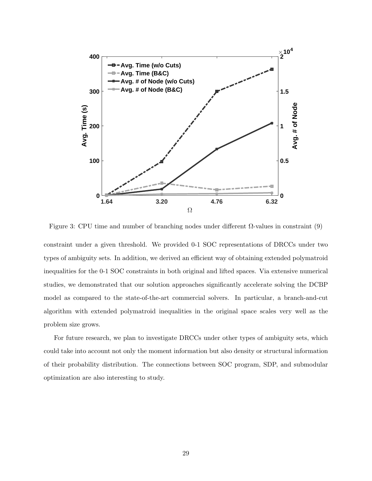

Figure 3: CPU time and number of branching nodes under different  $\Omega$ -values in constraint (9)

constraint under a given threshold. We provided 0-1 SOC representations of DRCCs under two types of ambiguity sets. In addition, we derived an efficient way of obtaining extended polymatroid inequalities for the 0-1 SOC constraints in both original and lifted spaces. Via extensive numerical studies, we demonstrated that our solution approaches significantly accelerate solving the DCBP model as compared to the state-of-the-art commercial solvers. In particular, a branch-and-cut algorithm with extended polymatroid inequalities in the original space scales very well as the problem size grows.

For future research, we plan to investigate DRCCs under other types of ambiguity sets, which could take into account not only the moment information but also density or structural information of their probability distribution. The connections between SOC program, SDP, and submodular optimization are also interesting to study.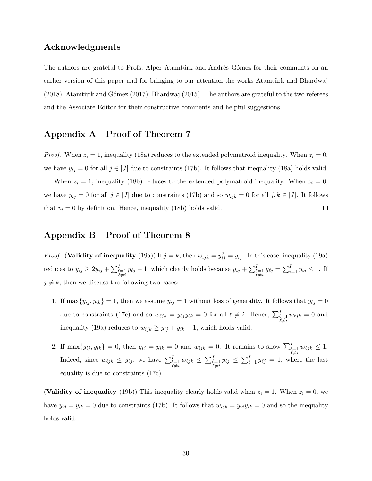### Acknowledgments

The authors are grateful to Profs. Alper Atamtürk and Andrés Gómez for their comments on an earlier version of this paper and for bringing to our attention the works Atamtürk and Bhardwaj  $(2018)$ ; Atamtürk and Gómez (2017); Bhardwaj (2015). The authors are grateful to the two referees and the Associate Editor for their constructive comments and helpful suggestions.

# Appendix A Proof of Theorem 7

*Proof.* When  $z_i = 1$ , inequality (18a) reduces to the extended polymatroid inequality. When  $z_i = 0$ , we have  $y_{ij} = 0$  for all  $j \in [J]$  due to constraints (17b). It follows that inequality (18a) holds valid.

When  $z_i = 1$ , inequality (18b) reduces to the extended polymatroid inequality. When  $z_i = 0$ , we have  $y_{ij} = 0$  for all  $j \in [J]$  due to constraints (17b) and so  $w_{ijk} = 0$  for all  $j, k \in [J]$ . It follows  $\Box$ that  $v_i = 0$  by definition. Hence, inequality (18b) holds valid.

## Appendix B Proof of Theorem 8

*Proof.* (Validity of inequality (19a)) If  $j = k$ , then  $w_{ijk} = y_{ij}^2 = y_{ij}$ . In this case, inequality (19a) reduces to  $y_{ij} \ge 2y_{ij} + \sum_{\substack{\ell=1 \ \ell \neq i}}^I y_{\ell j} - 1$ , which clearly holds because  $y_{ij} + \sum_{\substack{\ell=1 \ \ell \neq i}}^I y_{\ell j} = \sum_{i=1}^I y_{ij} \le 1$ . If  $j \neq k$ , then we discuss the following two cases:

- 1. If  $\max\{y_{ij}, y_{ik}\} = 1$ , then we assume  $y_{ij} = 1$  without loss of generality. It follows that  $y_{\ell j} = 0$ due to constraints (17c) and so  $w_{\ell jk} = y_{\ell j}y_{\ell k} = 0$  for all  $\ell \neq i$ . Hence,  $\sum_{\substack{\ell=1 \ \ell \neq i}}^I w_{\ell jk} = 0$  and inequality (19a) reduces to  $w_{ijk} \geq y_{ij} + y_{ik} - 1$ , which holds valid.
- 2. If  $\max\{y_{ij}, y_{ik}\}=0$ , then  $y_{ij}=y_{ik}=0$  and  $w_{ijk}=0$ . It remains to show  $\sum_{\substack{\ell=1 \ \ell \neq i}}^I w_{\ell j k} \leq 1$ . Indeed, since  $w_{\ell jk} \leq y_{\ell j}$ , we have  $\sum_{\substack{\ell=1 \ \ell \neq i}}^I w_{\ell jk} \leq \sum_{\substack{\ell=1 \ \ell \neq i}}^I y_{\ell j} \leq \sum_{\ell=1}^I y_{\ell j} = 1$ , where the last equality is due to constraints (17c).

(Validity of inequality (19b)) This inequality clearly holds valid when  $z_i = 1$ . When  $z_i = 0$ , we have  $y_{ij} = y_{ik} = 0$  due to constraints (17b). It follows that  $w_{ijk} = y_{ij}y_{ik} = 0$  and so the inequality holds valid.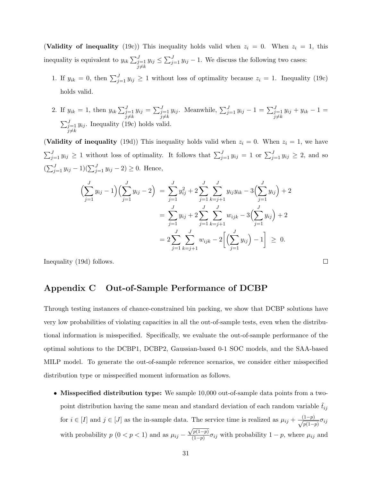(Validity of inequality (19c)) This inequality holds valid when  $z_i = 0$ . When  $z_i = 1$ , this inequality is equivalent to  $y_{ik} \sum_{j=1}^{J}$  $j{\neq}k$  $y_{ij} \le \sum_{j=1}^{J} y_{ij} - 1$ . We discuss the following two cases:

- 1. If  $y_{ik} = 0$ , then  $\sum_{j=1}^{J} y_{ij} \ge 1$  without loss of optimality because  $z_i = 1$ . Inequality (19c) holds valid.
- 2. If  $y_{ik} = 1$ , then  $y_{ik} \sum_{j=1}^{J}$  $j{\neq}k$  $y_{ij} = \sum_{j=1}^{J}$  $j{\neq}k$  $y_{ij}$ . Meanwhile,  $\sum_{j=1}^{J} y_{ij} - 1 = \sum_{j=1}^{J}$  $j{\neq}k$  $y_{ij} + y_{ik} - 1 =$  $\sum_{j=1}^J$  $j{\neq}k$  $y_{ij}$ . Inequality (19c) holds valid.

(Validity of inequality (19d)) This inequality holds valid when  $z_i = 0$ . When  $z_i = 1$ , we have  $\sum_{j=1}^{J} y_{ij} \geq 1$  without loss of optimality. It follows that  $\sum_{j=1}^{J} y_{ij} = 1$  or  $\sum_{j=1}^{J} y_{ij} \geq 2$ , and so  $(\sum_{j=1}^{J} y_{ij} - 1)(\sum_{j=1}^{J} y_{ij} - 2) \ge 0$ . Hence,

$$
\left(\sum_{j=1}^{J} y_{ij} - 1\right) \left(\sum_{j=1}^{J} y_{ij} - 2\right) = \sum_{j=1}^{J} y_{ij}^2 + 2 \sum_{j=1}^{J} \sum_{k=j+1}^{J} y_{ij} y_{ik} - 3 \left(\sum_{j=1}^{J} y_{ij}\right) + 2
$$

$$
= \sum_{j=1}^{J} y_{ij} + 2 \sum_{j=1}^{J} \sum_{k=j+1}^{J} w_{ijk} - 3 \left(\sum_{j=1}^{J} y_{ij}\right) + 2
$$

$$
= 2 \sum_{j=1}^{J} \sum_{k=j+1}^{J} w_{ijk} - 2 \left[\left(\sum_{j=1}^{J} y_{ij}\right) - 1\right] \geq 0.
$$

 $\Box$ 

Inequality (19d) follows.

# Appendix C Out-of-Sample Performance of DCBP

Through testing instances of chance-constrained bin packing, we show that DCBP solutions have very low probabilities of violating capacities in all the out-of-sample tests, even when the distributional information is misspecified. Specifically, we evaluate the out-of-sample performance of the optimal solutions to the DCBP1, DCBP2, Gaussian-based 0-1 SOC models, and the SAA-based MILP model. To generate the out-of-sample reference scenarios, we consider either misspecified distribution type or misspecified moment information as follows.

• Misspecified distribution type: We sample 10,000 out-of-sample data points from a twopoint distribution having the same mean and standard deviation of each random variable  $\tilde{t}_{ij}$ for  $i \in [I]$  and  $j \in [J]$  as the in-sample data. The service time is realized as  $\mu_{ij} + \frac{(1-p)}{\sqrt{1-p}}$  $\frac{1-pj}{p(1-p)}\sigma_{ij}$ with probability  $p(0 < p < 1)$  and as  $\mu_{ij} - \frac{\sqrt{p(1-p)}}{(1-p)}$ √  $\frac{p(1-p)}{(1-p)}\sigma_{ij}$  with probability  $1-p$ , where  $\mu_{ij}$  and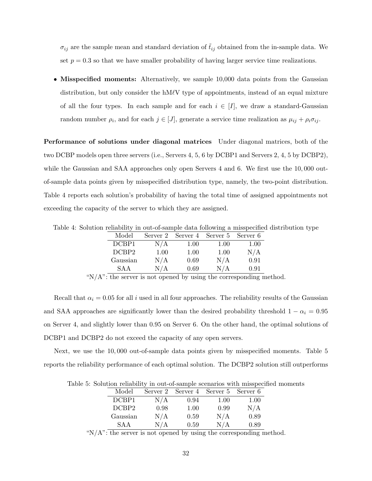$\sigma_{ij}$  are the sample mean and standard deviation of  $t_{ij}$  obtained from the in-sample data. We set  $p = 0.3$  so that we have smaller probability of having larger service time realizations.

• Misspecified moments: Alternatively, we sample 10,000 data points from the Gaussian distribution, but only consider the hM $\ell V$  type of appointments, instead of an equal mixture of all the four types. In each sample and for each  $i \in [I]$ , we draw a standard-Gaussian random number  $\rho_i$ , and for each  $j \in [J]$ , generate a service time realization as  $\mu_{ij} + \rho_i \sigma_{ij}$ .

Performance of solutions under diagonal matrices Under diagonal matrices, both of the two DCBP models open three servers (i.e., Servers 4, 5, 6 by DCBP1 and Servers 2, 4, 5 by DCBP2), while the Gaussian and SAA approaches only open Servers 4 and 6. We first use the 10,000 outof-sample data points given by misspecified distribution type, namely, the two-point distribution. Table 4 reports each solution's probability of having the total time of assigned appointments not exceeding the capacity of the server to which they are assigned.

Table 4: Solution reliability in out-of-sample data following a misspecified distribution type

| Model    | Server 2 |      | Server 4 Server 5 | Server 6 |
|----------|----------|------|-------------------|----------|
| DCBP1    | N/A      | 1.00 | 1.00              | 1.00     |
| DCBP2    | 1.00     | 1.00 | 1.00              | N/A      |
| Gaussian | N/A      | 0.69 | N/A               | 0.91     |
| SA A     | N/A      | 0.69 | N/A               | 0.91     |

"N/A": the server is not opened by using the corresponding method.

Recall that  $\alpha_i = 0.05$  for all i used in all four approaches. The reliability results of the Gaussian and SAA approaches are significantly lower than the desired probability threshold  $1 - \alpha_i = 0.95$ on Server 4, and slightly lower than 0.95 on Server 6. On the other hand, the optimal solutions of DCBP1 and DCBP2 do not exceed the capacity of any open servers.

Next, we use the 10, 000 out-of-sample data points given by misspecified moments. Table 5 reports the reliability performance of each optimal solution. The DCBP2 solution still outperforms

Table 5: Solution reliability in out-of-sample scenarios with misspecified moments

| Model    | Server 2 |      |      |                            |
|----------|----------|------|------|----------------------------|
| DCBP1    | N/A      | 0.94 | 1.00 | 1.00                       |
| DCBP2    | 0.98     | 1.00 | 0.99 | N/A                        |
| Gaussian | N/A      | 0.59 | N/A  | 0.89                       |
| SAA      | N/A      | 0.59 | N/A  | 0.89                       |
|          |          |      |      | Server 4 Server 5 Server 6 |

" $N/A$ ": the server is not opened by using the corresponding method.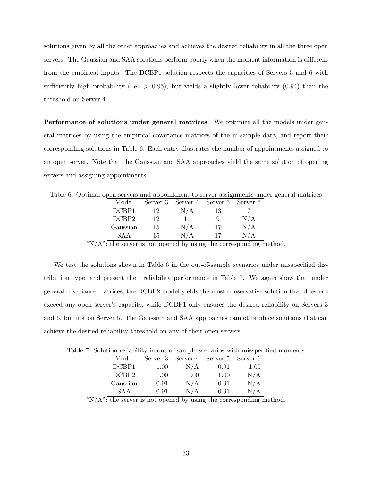solutions given by all the other approaches and achieves the desired reliability in all the three open servers. The Gaussian and SAA solutions perform poorly when the moment information is different from the empirical inputs. The DCBP1 solution respects the capacities of Servers 5 and 6 with sufficiently high probability (i.e.,  $> 0.95$ ), but yields a slightly lower reliability (0.94) than the threshold on Server 4.

Performance of solutions under general matrices We optimize all the models under general matrices by using the empirical covariance matrices of the in-sample data, and report their corresponding solutions in Table 6. Each entry illustrates the number of appointments assigned to an open server. Note that the Gaussian and SAA approaches yield the same solution of opening servers and assigning appointments.

Table 6: Optimal open servers and appointment-to-server assignments under general matrices

| Model    | Server 3 |     | Server 4 Server 5 Server 6 |               |
|----------|----------|-----|----------------------------|---------------|
| DCBP1    | 12       | N/A | 13                         |               |
| DCBP2    | 12       | 11  |                            | N/A           |
| Gaussian | 15       | N/A | 17                         | N/A           |
| SA A     | 15       | N/A | 17                         | N / A         |
|          |          |     |                            | $\sim$ $\sim$ |

" $N/A$ ": the server is not opened by using the corresponding method.

We test the solutions shown in Table 6 in the out-of-sample scenarios under misspecified distribution type, and present their reliability performance in Table 7. We again show that under general covariance matrices, the DCBP2 model yields the most conservative solution that does not exceed any open server's capacity, while DCBP1 only ensures the desired reliability on Servers 3 and 6, but not on Server 5. The Gaussian and SAA approaches cannot produce solutions that can achieve the desired reliability threshold on any of their open servers.

Table 7: Solution reliability in out-of-sample scenarios with misspecified moments

| Model    | Server 3 |      | Server 4 Server 5 Server 6 |      |
|----------|----------|------|----------------------------|------|
| DCBP1    | 1.00     | N/A  | 0.91                       | 1.00 |
| DCBP2    | 1.00     | 1.00 | 1.00                       | N/A  |
| Gaussian | 0.91     | N/A  | 0.91                       | N/A  |
| SA A     | 0.91     | N/A  | 0.91                       | N/A  |

" $N/A$ ": the server is not opened by using the corresponding method.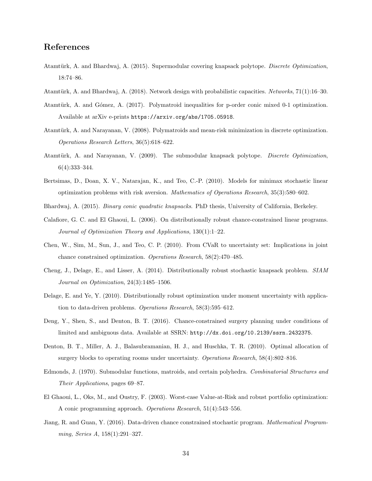## References

- Atamtürk, A. and Bhardwaj, A. (2015). Supermodular covering knapsack polytope. Discrete Optimization, 18:74–86.
- Atamtürk, A. and Bhardwaj, A. (2018). Network design with probabilistic capacities. Networks, 71(1):16–30.
- Atamtürk, A. and Gómez, A. (2017). Polymatroid inequalities for p-order conic mixed 0-1 optimization. Available at arXiv e-prints https://arxiv.org/abs/1705.05918.
- Atamtürk, A. and Narayanan, V. (2008). Polymatroids and mean-risk minimization in discrete optimization. Operations Research Letters, 36(5):618–622.
- Atamtürk, A. and Narayanan, V. (2009). The submodular knapsack polytope. Discrete Optimization, 6(4):333–344.
- Bertsimas, D., Doan, X. V., Natarajan, K., and Teo, C.-P. (2010). Models for minimax stochastic linear optimization problems with risk aversion. Mathematics of Operations Research, 35(3):580–602.
- Bhardwaj, A. (2015). Binary conic quadratic knapsacks. PhD thesis, University of California, Berkeley.
- Calafiore, G. C. and El Ghaoui, L. (2006). On distributionally robust chance-constrained linear programs. Journal of Optimization Theory and Applications, 130(1):1–22.
- Chen, W., Sim, M., Sun, J., and Teo, C. P. (2010). From CVaR to uncertainty set: Implications in joint chance constrained optimization. Operations Research, 58(2):470–485.
- Cheng, J., Delage, E., and Lisser, A. (2014). Distributionally robust stochastic knapsack problem. SIAM Journal on Optimization, 24(3):1485–1506.
- Delage, E. and Ye, Y. (2010). Distributionally robust optimization under moment uncertainty with application to data-driven problems. Operations Research, 58(3):595–612.
- Deng, Y., Shen, S., and Denton, B. T. (2016). Chance-constrained surgery planning under conditions of limited and ambiguous data. Available at SSRN: http://dx.doi.org/10.2139/ssrn.2432375.
- Denton, B. T., Miller, A. J., Balasubramanian, H. J., and Huschka, T. R. (2010). Optimal allocation of surgery blocks to operating rooms under uncertainty. Operations Research, 58(4):802–816.
- Edmonds, J. (1970). Submodular functions, matroids, and certain polyhedra. Combinatorial Structures and Their Applications, pages 69–87.
- El Ghaoui, L., Oks, M., and Oustry, F. (2003). Worst-case Value-at-Risk and robust portfolio optimization: A conic programming approach. Operations Research, 51(4):543–556.
- Jiang, R. and Guan, Y. (2016). Data-driven chance constrained stochastic program. Mathematical Programming, Series A, 158(1):291–327.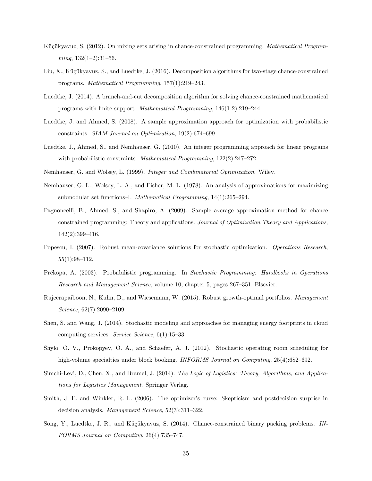- Küçükyavuz, S. (2012). On mixing sets arising in chance-constrained programming. Mathematical Program $ming, 132(1-2):31-56.$
- Liu, X., Küçükyavuz, S., and Luedtke, J. (2016). Decomposition algorithms for two-stage chance-constrained programs. Mathematical Programming, 157(1):219–243.
- Luedtke, J. (2014). A branch-and-cut decomposition algorithm for solving chance-constrained mathematical programs with finite support. Mathematical Programming, 146(1-2):219–244.
- Luedtke, J. and Ahmed, S. (2008). A sample approximation approach for optimization with probabilistic constraints. SIAM Journal on Optimization, 19(2):674–699.
- Luedtke, J., Ahmed, S., and Nemhauser, G. (2010). An integer programming approach for linear programs with probabilistic constraints. *Mathematical Programming*, 122(2):247–272.
- Nemhauser, G. and Wolsey, L. (1999). Integer and Combinatorial Optimization. Wiley.
- Nemhauser, G. L., Wolsey, L. A., and Fisher, M. L. (1978). An analysis of approximations for maximizing submodular set functions–I. Mathematical Programming, 14(1):265–294.
- Pagnoncelli, B., Ahmed, S., and Shapiro, A. (2009). Sample average approximation method for chance constrained programming: Theory and applications. Journal of Optimization Theory and Applications, 142(2):399–416.
- Popescu, I. (2007). Robust mean-covariance solutions for stochastic optimization. Operations Research, 55(1):98–112.
- Prékopa, A. (2003). Probabilistic programming. In Stochastic Programming: Handbooks in Operations Research and Management Science, volume 10, chapter 5, pages 267–351. Elsevier.
- Rujeerapaiboon, N., Kuhn, D., and Wiesemann, W. (2015). Robust growth-optimal portfolios. Management Science, 62(7):2090-2109.
- Shen, S. and Wang, J. (2014). Stochastic modeling and approaches for managing energy footprints in cloud computing services. Service Science, 6(1):15–33.
- Shylo, O. V., Prokopyev, O. A., and Schaefer, A. J. (2012). Stochastic operating room scheduling for high-volume specialties under block booking. INFORMS Journal on Computing, 25(4):682–692.
- Simchi-Levi, D., Chen, X., and Bramel, J. (2014). The Logic of Logistics: Theory, Algorithms, and Applications for Logistics Management. Springer Verlag.
- Smith, J. E. and Winkler, R. L. (2006). The optimizer's curse: Skepticism and postdecision surprise in decision analysis. Management Science, 52(3):311-322.
- Song, Y., Luedtke, J. R., and Küçükyavuz, S. (2014). Chance-constrained binary packing problems. IN-FORMS Journal on Computing, 26(4):735–747.